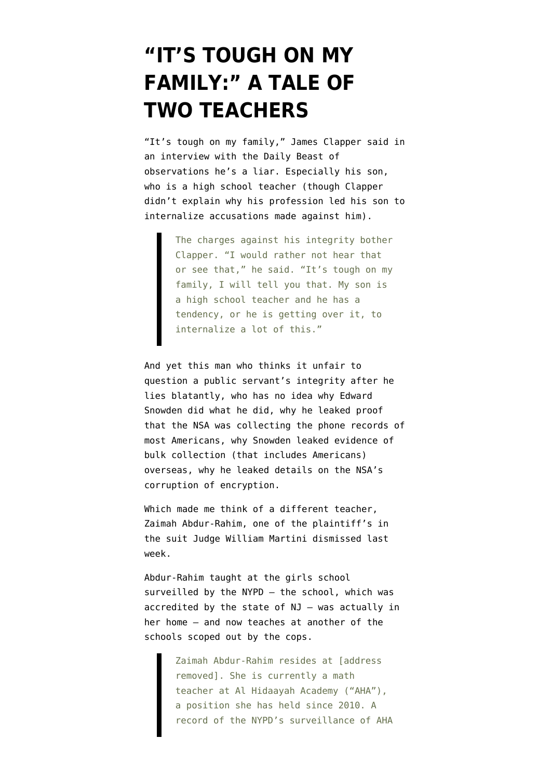# **["IT'S TOUGH ON MY](https://www.emptywheel.net/2014/02/24/its-tough-on-my-family-a-tale-of-two-teachers/) [FAMILY:" A TALE OF](https://www.emptywheel.net/2014/02/24/its-tough-on-my-family-a-tale-of-two-teachers/) [TWO TEACHERS](https://www.emptywheel.net/2014/02/24/its-tough-on-my-family-a-tale-of-two-teachers/)**

"It's tough on my family," James Clapper said in [an interview with the Daily Beast](http://www.thedailybeast.com/articles/2014/02/23/spy-chief-we-can-t-stop-another-snowden.html) of observations he's a liar. Especially his son, who is a high school teacher (though Clapper didn't explain why his profession led his son to internalize accusations made against him).

> The charges against his integrity bother Clapper. "I would rather not hear that or see that," he said. "It's tough on my family, I will tell you that. My son is a high school teacher and he has a tendency, or he is getting over it, to internalize a lot of this."

And yet this man who thinks it unfair to question a public servant's integrity after he lies blatantly, who has no idea why Edward Snowden did what he did, why he leaked proof that the NSA was collecting the phone records of most Americans, why Snowden leaked evidence of bulk collection ([that includes Americans\)](http://www.emptywheel.net/2014/02/17/spcma-the-other-nsa-dragnet-sucking-in-americans/) overseas, why he leaked details on the NSA's corruption of encryption.

Which made me think of a different teacher, Zaimah Abdur-Rahim, one of the plaintiff's in [the suit J](http://www.ccrjustice.org/files/10_First%20Amended%20Complaint.10.3.2012.pdf)udge William Martini [dismissed last](http://www.emptywheel.net/2014/02/20/judge-william-martini-endorses-hunting-for-terrorists-in-muslim-girls-schools/) [week](http://www.emptywheel.net/2014/02/20/judge-william-martini-endorses-hunting-for-terrorists-in-muslim-girls-schools/).

Abdur-Rahim [taught](http://www.ccrjustice.org/files/10_First%20Amended%20Complaint.10.3.2012.pdf) at the girls school surveilled by the NYPD — the school, which was accredited by the state of NJ — was actually in her home — and now teaches at another of the schools scoped out by the cops.

> Zaimah Abdur-Rahim resides at [address removed]. She is currently a math teacher at Al Hidaayah Academy ("AHA"), a position she has held since 2010. A record of the NYPD's surveillance of AHA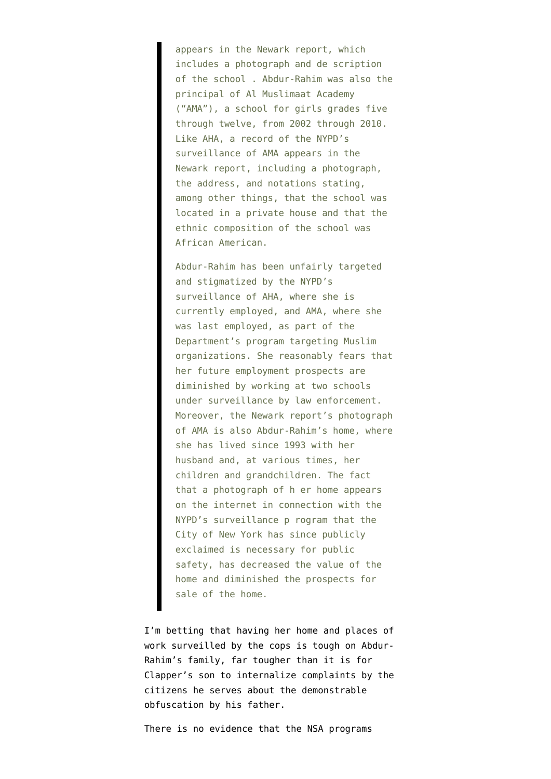appears in the Newark report, which includes a photograph and de scription of the school . Abdur-Rahim was also the principal of Al Muslimaat Academy ("AMA"), a school for girls grades five through twelve, from 2002 through 2010. Like AHA, a record of the NYPD's surveillance of AMA appears in the Newark report, including a photograph, the address, and notations stating, among other things, that the school was located in a private house and that the ethnic composition of the school was African American.

Abdur-Rahim has been unfairly targeted and stigmatized by the NYPD's surveillance of AHA, where she is currently employed, and AMA, where she was last employed, as part of the Department's program targeting Muslim organizations. She reasonably fears that her future employment prospects are diminished by working at two schools under surveillance by law enforcement. Moreover, the Newark report's photograph of AMA is also Abdur-Rahim's home, where she has lived since 1993 with her husband and, at various times, her children and grandchildren. The fact that a photograph of h er home appears on the internet in connection with the NYPD's surveillance p rogram that the City of New York has since publicly exclaimed is necessary for public safety, has decreased the value of the home and diminished the prospects for sale of the home.

I'm betting that having her home and places of work surveilled by the cops is tough on Abdur-Rahim's family, far tougher than it is for Clapper's son to internalize complaints by the citizens he serves about the demonstrable obfuscation by his father.

There is no evidence that the NSA programs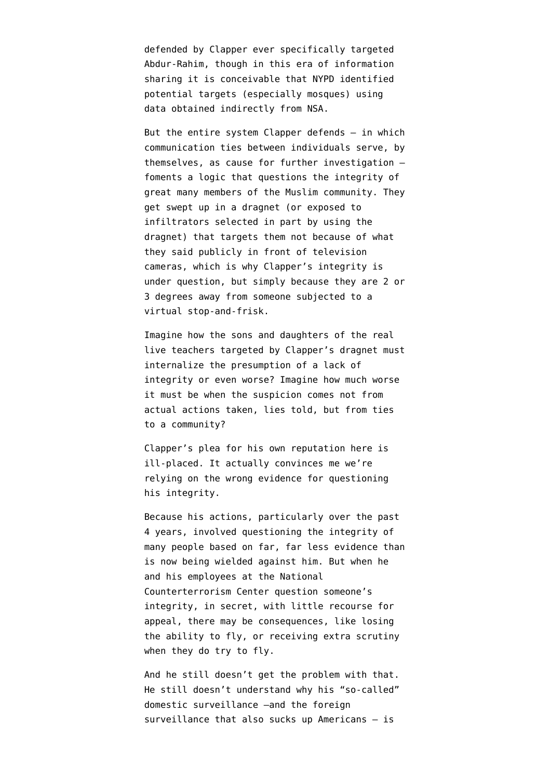defended by Clapper ever specifically targeted Abdur-Rahim, though in this era of information sharing it is conceivable that NYPD identified potential targets (especially mosques) using data obtained indirectly from NSA.

But the entire system Clapper defends  $-$  in which communication ties between individuals serve, by themselves, as cause for further investigation foments a logic that questions the integrity of great many members of the Muslim community. They get swept up in a dragnet (or exposed to infiltrators selected in part by using the dragnet) that targets them not because of what they said publicly in front of television cameras, which is why Clapper's integrity is under question, but simply because they are 2 or 3 degrees away from someone subjected to a virtual stop-and-frisk.

Imagine how the sons and daughters of the real live teachers targeted by Clapper's dragnet must internalize the presumption of a lack of integrity or even worse? Imagine how much worse it must be when the suspicion comes not from actual actions taken, lies told, but from ties to a community?

Clapper's plea for his own reputation here is ill-placed. It actually convinces me we're relying on the wrong evidence for questioning his integrity.

Because his actions, particularly over the past 4 years, involved questioning the integrity of many people based on far, far less evidence than is now being wielded against him. But when he and his employees at the National Counterterrorism Center question someone's integrity, in secret, with little recourse for appeal, there may be consequences, like losing the ability to fly, or receiving extra scrutiny when they do try to fly.

And he still doesn't get the problem with that. He still doesn't understand why his "so-called" domestic surveillance –and the foreign surveillance that also sucks up Americans — is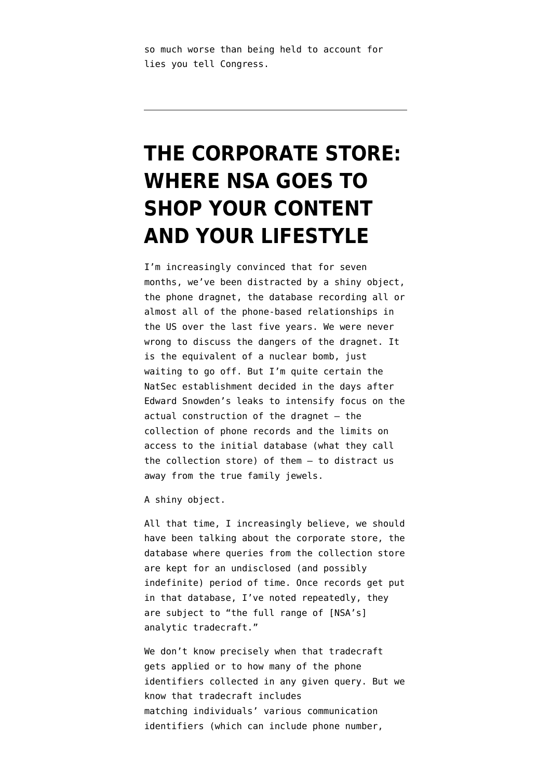so much worse than being held to account for lies you tell Congress.

# **[THE CORPORATE STORE:](https://www.emptywheel.net/2014/01/25/the-corporate-store-where-nsa-goes-to-shop-your-content-and-your-lifestyle/) [WHERE NSA GOES TO](https://www.emptywheel.net/2014/01/25/the-corporate-store-where-nsa-goes-to-shop-your-content-and-your-lifestyle/) [SHOP YOUR CONTENT](https://www.emptywheel.net/2014/01/25/the-corporate-store-where-nsa-goes-to-shop-your-content-and-your-lifestyle/) [AND YOUR LIFESTYLE](https://www.emptywheel.net/2014/01/25/the-corporate-store-where-nsa-goes-to-shop-your-content-and-your-lifestyle/)**

I'm increasingly convinced that for seven months, we've been distracted by a shiny object, the phone dragnet, the database recording all or almost all of the phone-based relationships in the US over the last five years. We were never wrong to discuss the dangers of the dragnet. It is the equivalent of a nuclear bomb, just waiting to go off. But I'm quite certain the NatSec establishment decided in the days after Edward Snowden's leaks to intensify focus on the actual construction of the dragnet — the collection of phone records and the limits on access to the initial database (what they call the collection store) of them — to distract us away from the true family jewels.

A shiny object.

All that time, I increasingly believe, we should have been talking about the corporate store, the database where queries from the collection store are kept for an undisclosed (and possibly indefinite) period of time. Once records get put in that database, I've noted repeatedly, they are subject to "the full range of [NSA's] analytic tradecraft."

We don't know precisely when that tradecraft gets applied or to how many of the phone identifiers collected in any given query. But we know that tradecraft includes matching [individuals' various communication](http://www.emptywheel.net/2013/12/30/how-nsa-hunts-metadata-content-in-search-of-your-digital-tracks/) [identifiers](http://www.emptywheel.net/2013/12/30/how-nsa-hunts-metadata-content-in-search-of-your-digital-tracks/) (which can include phone number,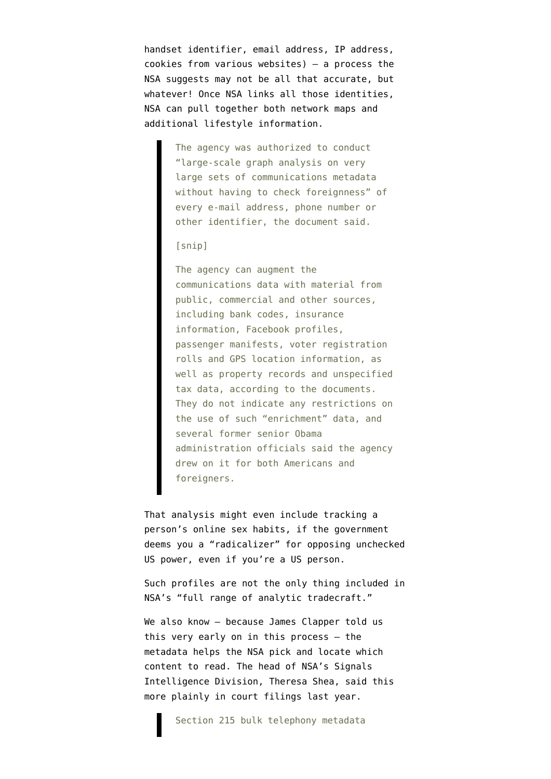handset identifier, email address, IP address, cookies from various websites) — a process the NSA [suggests](http://www.spiegel.de/fotostrecke/nsa-dokumente-so-uebernimmt-der-geheimdienst-fremde-rechner-fotostrecke-105329-16.html) may not be all that accurate, but whatever! Once NSA links all those identities, NSA [can](https://www.google.com/url?sa=t&rct=j&q=&esrc=s&source=web&cd=1&cad=rja&ved=0CDAQqQIwAA&url=http%3A%2F%2Fwww.nytimes.com%2F2013%2F09%2F29%2Fus%2Fnsa-examines-social-networks-of-us-citizens.html%3Fpagewanted%3Dall&ei=lyxMUr3LBeiGjALtiYC4DA&usg=AFQjCNES5URU93yGPGL4x6LG7GsRvCiP0g&sig2=GIc5APmS10zTSIUIUK9Ijg&bvm=bv.53371865,d.cGE) pull together both network maps and additional lifestyle information.

> The agency was authorized to conduct "large-scale graph analysis on very large sets of communications metadata without having to check foreignness" of every e-mail address, phone number or other identifier, the document said.

[snip]

The agency can augment the communications data with material from public, commercial and other sources, including bank codes, insurance information, Facebook profiles, passenger manifests, voter registration rolls and GPS location information, as well as property records and unspecified tax data, according to the documents. They do not indicate any restrictions on the use of such "enrichment" data, and several former senior Obama administration officials said the agency drew on it for both Americans and foreigners.

That analysis might even include tracking a person's online sex habits, if the government deems you a ["radicalizer"](http://www.emptywheel.net/2013/11/27/definition-of-a-radicalizer-a-sunni-opponent-to-unchecked-us-power/) for opposing unchecked US power, even if you're a US person.

Such profiles are not the only thing included in NSA's "full range of analytic tradecraft."

We also know - because [James Clapper told us](http://www.emptywheel.net/2013/07/16/hiding-the-215-index-from-defendants-too/) [this very early on in this process](http://www.emptywheel.net/2013/07/16/hiding-the-215-index-from-defendants-too/) — the metadata helps the NSA pick and locate which content to read. The head of NSA's Signals Intelligence Division, Theresa Shea, [said this](http://www.emptywheel.net/wp-content/uploads/2013/12/131112-Klayman-Shea-Declaration.pdf) [more plainly](http://www.emptywheel.net/wp-content/uploads/2013/12/131112-Klayman-Shea-Declaration.pdf) in court filings last year.

Section 215 bulk telephony metadata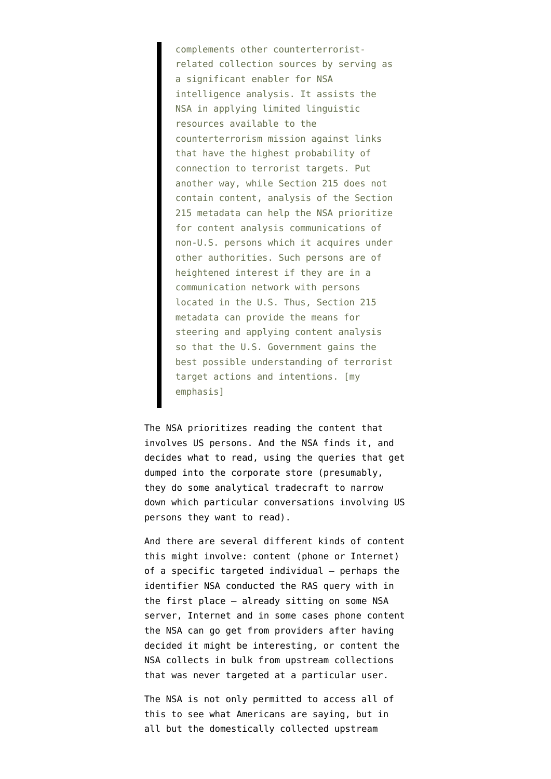complements other counterterroristrelated collection sources by serving as a significant enabler for NSA intelligence analysis. It assists the NSA in applying limited linguistic resources available to the counterterrorism mission against links that have the highest probability of connection to terrorist targets. Put another way, while Section 215 does not contain content, analysis of the Section 215 metadata can help the NSA prioritize for content analysis communications of non-U.S. persons which it acquires under other authorities. Such persons are of heightened interest if they are in a communication network with persons located in the U.S. Thus, Section 215 metadata can provide the means for steering and applying content analysis so that the U.S. Government gains the best possible understanding of terrorist target actions and intentions. [my emphasis]

The NSA prioritizes reading the content that involves US persons. And the NSA finds it, and decides what to read, using the queries that get dumped into the corporate store (presumably, they do some analytical tradecraft to narrow down which particular conversations involving US persons they want to read).

And there are several different kinds of content this might involve: content (phone or Internet) of a specific targeted individual — perhaps the identifier NSA conducted the RAS query with in the first place — already sitting on some NSA server, Internet and in some cases phone content the NSA can go get from providers after having decided it might be interesting, or content the NSA collects in bulk from upstream collections that was never targeted at a particular user.

The NSA is not only permitted to access all of this to see what Americans are saying, but in all but the domestically collected upstream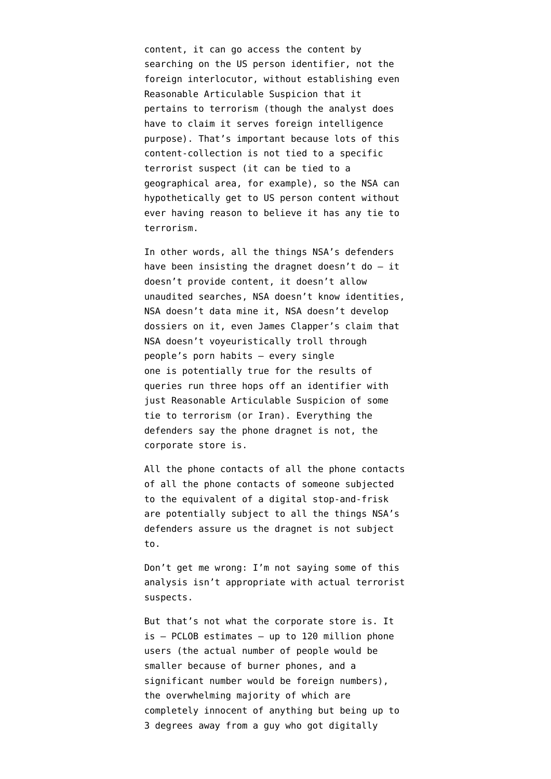content, it can go access the content by searching on the US person identifier, not the foreign interlocutor, [without establishing](http://www.emptywheel.net/2013/11/08/the-intelligence-communitys-wide-open-unprotected-back-door-to-all-your-content/) even Reasonable Articulable Suspicion that it pertains to terrorism (though the analyst does have to claim it serves foreign intelligence purpose). That's important because lots of this content-collection is not tied to a specific terrorist suspect (it can be tied to a geographical area, for example), so the NSA can hypothetically get to US person content without ever having reason to believe it has any tie to terrorism.

In other words, all the things NSA's defenders have been insisting the dragnet doesn't do  $-$  it doesn't provide content, it doesn't allow unaudited searches, NSA doesn't know identities, NSA doesn't data mine it, NSA doesn't develop dossiers on it, even James Clapper's claim that NSA doesn't voyeuristically troll through people's porn habits — every single one is potentially true for the results of queries run three hops off an identifier with just Reasonable Articulable Suspicion of some tie to terrorism ([or Iran\)](http://www.emptywheel.net/2013/06/12/breaking-iran-is-a-terrorist-organization/). Everything the defenders say the phone dragnet is not, the corporate store is.

All the phone contacts of all the phone contacts of all the phone contacts of someone subjected to the equivalent of a digital stop-and-frisk are potentially subject to all the things NSA's defenders assure us the dragnet is not subject to.

Don't get me wrong: I'm not saying some of this analysis isn't appropriate with actual terrorist suspects.

But that's not what the corporate store is. It is — PCLOB [estimates](http://www.emptywheel.net/wp-content/uploads/2014/01/140123-PCLOB.pdf) — up to 120 million phone users (the actual number of people would be smaller because of burner phones, and a significant number would be foreign numbers), the overwhelming majority of which are completely innocent of anything but being up to 3 degrees away from a guy who got digitally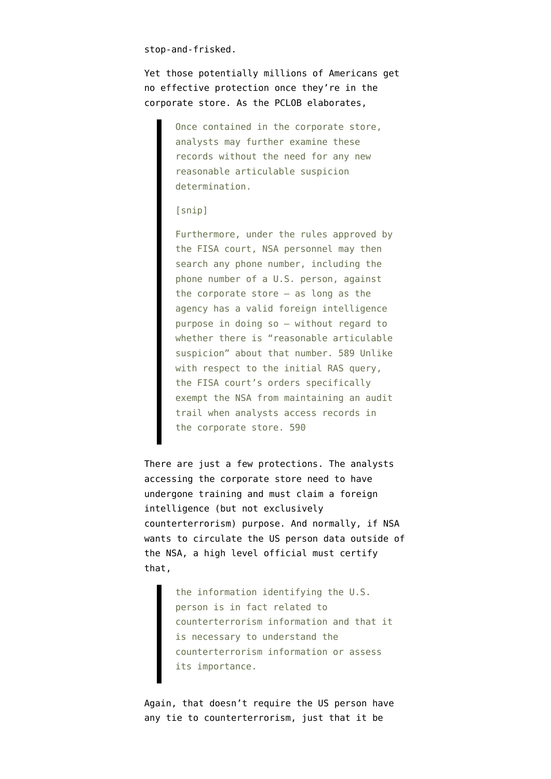stop-and-frisked.

Yet those potentially millions of Americans get no effective protection once they're in the corporate store. As the PCLOB elaborates,

> Once contained in the corporate store, analysts may further examine these records without the need for any new reasonable articulable suspicion determination.

#### [snip]

Furthermore, under the rules approved by the FISA court, NSA personnel may then search any phone number, including the phone number of a U.S. person, against the corporate store — as long as the agency has a valid foreign intelligence purpose in doing so — without regard to whether there is "reasonable articulable suspicion" about that number. 589 Unlike with respect to the initial RAS query, the FISA court's orders specifically exempt the NSA from maintaining an audit trail when analysts access records in the corporate store. 590

There are just a few protections. The analysts accessing the corporate store need to have undergone training and must claim a foreign intelligence (but not exclusively counterterrorism) purpose. And normally, if NSA wants to circulate the US person data outside of the NSA, a high level official must certify that,

> the information identifying the U.S. person is in fact related to counterterrorism information and that it is necessary to understand the counterterrorism information or assess its importance.

Again, that doesn't require the US person have any tie to counterterrorism, just that it be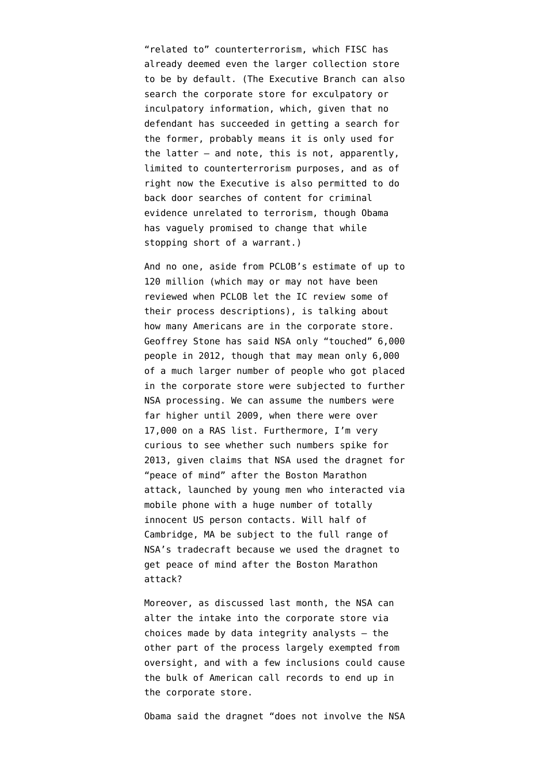"related to" counterterrorism, which FISC has already deemed even the larger collection store to be by default. (The Executive Branch can also search the corporate store for exculpatory or inculpatory information, which, given that no defendant has succeeded in getting a search for the former, probably means it is only used for the latter — and note, this is not, apparently, limited to counterterrorism purposes, and as of right now the Executive is also permitted to do back door searches of content for criminal evidence unrelated to terrorism, though Obama has vaguely promised to change that while stopping short of a warrant.)

And no one, aside from PCLOB's estimate of up to 120 million (which may or may not have been reviewed when PCLOB let the IC review some of their process descriptions), is talking about how many Americans are in the corporate store. Geoffrey Stone [has said](http://pubcit.typepad.com/clpblog/2014/01/geoffrey-stone-speaks-at-public-citizen-symposium-about-findings-of-nsa-review.html?utm_source=feedburner&utm_medium=feed&utm_campaign=Feed%3A+ConsumerLawPolicyBlog+(Consumer+Law+%26+Policy+Blog)) NSA only "touched" 6,000 people in 2012, though that may mean only 6,000 of a much larger number of people who got placed in the corporate store were subjected to further NSA processing. We can assume the numbers were far higher until 2009, when there were over 17,000 on a RAS list. Furthermore, I'm very curious to see whether such numbers spike for 2013, given claims that NSA used the dragnet for "peace of mind" after the Boston Marathon attack, launched by young men who interacted via mobile phone with a huge number of totally innocent US person contacts. Will half of Cambridge, MA be subject to the full range of NSA's tradecraft because we used the dragnet to get peace of mind after the Boston Marathon attack?

Moreover, as discussed last month, the NSA [can](http://www.emptywheel.net/2013/12/10/three-hopping-the-corporate-store-in-theory/) [alter the intake into the corporate store](http://www.emptywheel.net/2013/12/10/three-hopping-the-corporate-store-in-theory/) via choices made by data integrity analysts — the other part of the process largely exempted from oversight, and with a few inclusions could cause the bulk of American call records to end up in the corporate store.

Obama [said](http://www.emptywheel.net/2014/01/17/obamas-speech-annotated-version/) the dragnet "does not involve the NSA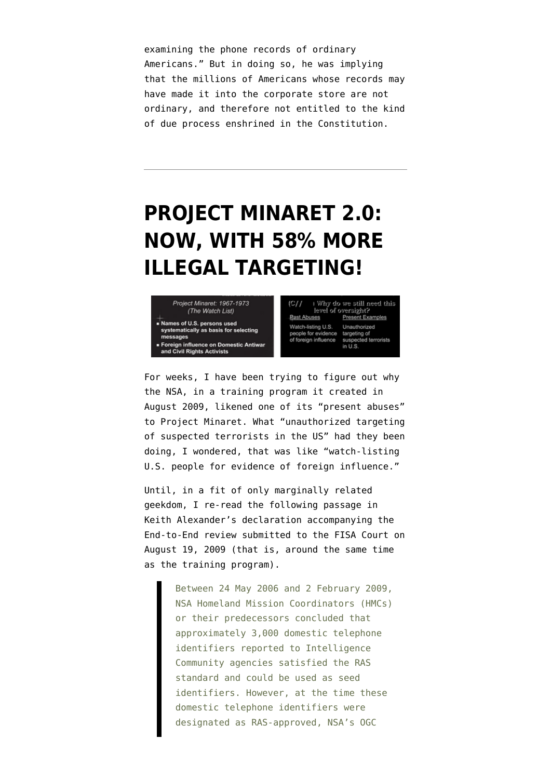examining the phone records of ordinary Americans." But in doing so, he was implying that the millions of Americans whose records may have made it into the corporate store are not ordinary, and therefore not entitled to the kind of due process enshrined in the Constitution.

# **[PROJECT MINARET 2.0:](https://www.emptywheel.net/2014/01/22/project-minaret-2-0-now-with-58-more-illegal-targeting/) [NOW, WITH 58% MORE](https://www.emptywheel.net/2014/01/22/project-minaret-2-0-now-with-58-more-illegal-targeting/) [ILLEGAL TARGETING!](https://www.emptywheel.net/2014/01/22/project-minaret-2-0-now-with-58-more-illegal-targeting/)**



 $|C/I|$ I Why do we still need this level of oversight?<br>ses Present Examples **Rast Abuses Past Abuses** Present Exam<br>Watch-listing U.S. Unauthorized people for evidence targeting of<br>of foreign influence suspected terrorists in U.S.

For weeks, I [have been trying to figure out](http://www.emptywheel.net/2013/11/27/in-2009-nsa-said-it-had-a-present-example-of-abuse-similar-to-project-minaret/) why the NSA, in a [training program](http://www.dni.gov/files/documents/1118/CLEANED021.extracts.%20Minimization%20Pr...cted%20from%20file%20021-Sealed.pdf) it created in August 2009, likened one of its "present abuses" to Project Minaret. What "unauthorized targeting of suspected terrorists in the US" had they been doing, I wondered, that was like "watch-listing U.S. people for evidence of foreign influence."

Until, in a fit of only marginally related geekdom, I re-read the following passage in [Keith Alexander's declaration](https://www.aclu.org/files/assets/pub_August%2019%202009%20Report%20of%20the%20US%20with%20Attachments%2020130910.pdf) accompanying the End-to-End review submitted to the FISA Court on August 19, 2009 (that is, around the same time as the training program).

> Between 24 May 2006 and 2 February 2009, NSA Homeland Mission Coordinators (HMCs) or their predecessors concluded that approximately 3,000 domestic telephone identifiers reported to Intelligence Community agencies satisfied the RAS standard and could be used as seed identifiers. However, at the time these domestic telephone identifiers were designated as RAS-approved, NSA's OGC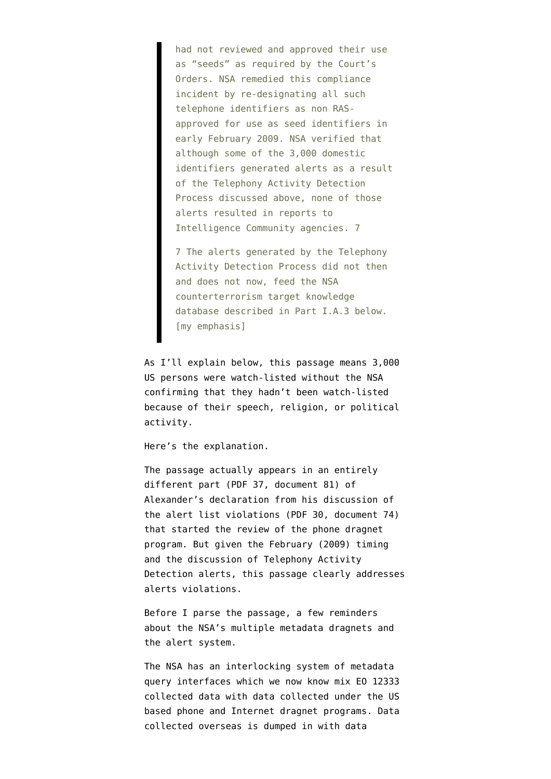had not reviewed and approved their use as "seeds" as required by the Court's Orders. NSA remedied this compliance incident by re-designating all such telephone identifiers as non RASapproved for use as seed identifiers in early February 2009. NSA verified that although some of the 3,000 domestic identifiers generated alerts as a result of the Telephony Activity Detection Process discussed above, none of those alerts resulted in reports to Intelligence Community agencies. 7

7 The alerts generated by the Telephony Activity Detection Process did not then and does not now, feed the NSA counterterrorism target knowledge database described in Part I.A.3 below. [my emphasis]

As I'll explain below, this passage means 3,000 US persons were watch-listed without the NSA confirming that they hadn't been watch-listed because of their speech, religion, or political activity.

Here's the explanation.

The passage actually appears in an entirely different part (PDF 37, document 81) of Alexander's declaration from his discussion of the alert list violations (PDF 30, document 74) that started the review of the phone dragnet program. But given the February (2009) timing and the discussion of Telephony Activity Detection alerts, this passage clearly addresses alerts violations.

Before I parse the passage, a few reminders about the NSA's multiple metadata dragnets and the alert system.

The NSA has an interlocking system of metadata query interfaces which [we now know mix](http://www.emptywheel.net/2013/12/03/federated-queries-and-eo-12333-fisc-workaround/) EO 12333 collected data with data collected under the US based phone and Internet dragnet programs. Data collected overseas is dumped in with data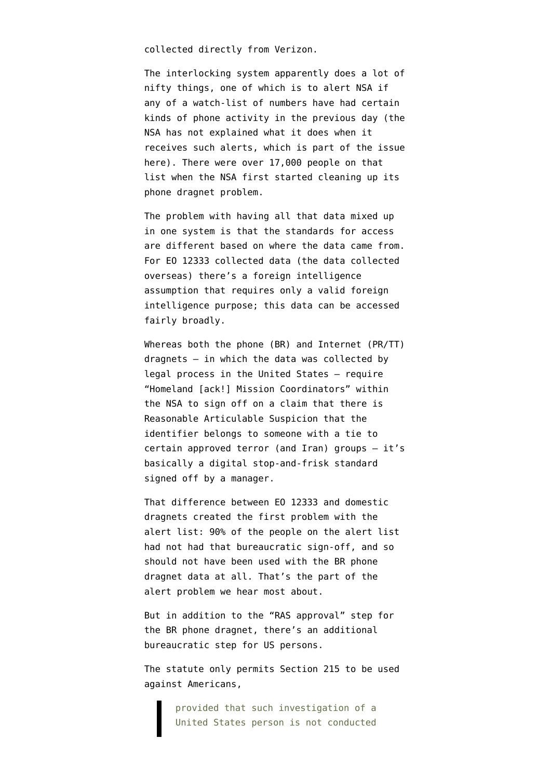collected directly from Verizon.

The interlocking system apparently does a lot of nifty things, one of which is to alert NSA if any of a watch-list of numbers have had certain kinds of phone activity in the previous day (the NSA has not explained what it does when it receives such alerts, which is part of the issue here). There were over 17,000 people on that list when the NSA first started cleaning up its phone dragnet problem.

The problem with having all that data mixed up in one system is that the standards for access are different based on where the data came from. For EO 12333 collected data (the data collected overseas) there's a foreign intelligence assumption that requires only a valid foreign intelligence purpose; this data can be accessed fairly broadly.

Whereas both the phone (BR) and Internet (PR/TT) dragnets — in which the data was collected by legal process in the United States — require "Homeland [ack!] Mission Coordinators" within the NSA to sign off on a claim that there is Reasonable Articulable Suspicion that the identifier belongs to someone with a tie to certain approved terror (and Iran) groups — it's basically a digital stop-and-frisk standard signed off by a manager.

That difference between EO 12333 and domestic dragnets created the first problem with the alert list: 90% of the people on the alert list had not had that bureaucratic sign-off, and so should not have been used with the BR phone dragnet data at all. That's the part of the alert problem we hear most about.

But in addition to the "RAS approval" step for the BR phone dragnet, there's an additional bureaucratic step for US persons.

The statute [only permits](http://www.law.cornell.edu/uscode/text/50/1861) Section 215 to be used against Americans,

> provided that such investigation of a United States person is not conducted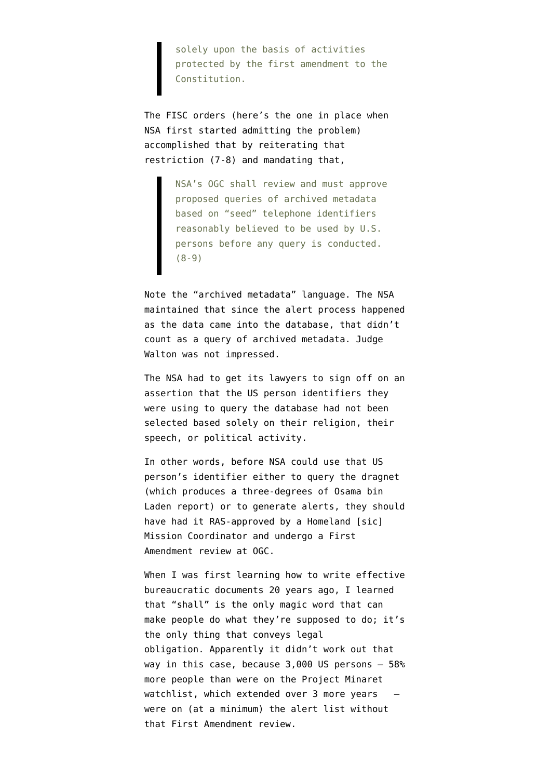solely upon the basis of activities protected by the first amendment to the Constitution.

The FISC orders ([here's the one in place](http://www.dni.gov/files/documents/11714/FISC%20Order,%20BR%2008-13.pdf) when NSA first started admitting the problem) accomplished that by reiterating that restriction (7-8) and mandating that,

> NSA's OGC shall review and must approve proposed queries of archived metadata based on "seed" telephone identifiers reasonably believed to be used by U.S. persons before any query is conducted. (8-9)

Note the "archived metadata" language. The NSA maintained that since the alert process happened as the data came into the database, that didn't count as a query of archived metadata. Judge Walton was not impressed.

The NSA had to get its lawyers to sign off on an assertion that the US person identifiers they were using to query the database had not been selected based solely on their religion, their speech, or political activity.

In other words, before NSA could use that US person's identifier either to query the dragnet (which produces a three-degrees of Osama bin Laden report) or to generate alerts, they should have had it RAS-approved by a Homeland [sic] Mission Coordinator and undergo a First Amendment review at OGC.

When I was first learning how to write effective bureaucratic documents 20 years ago, I learned that "shall" is the only magic word that can make people do what they're supposed to do; it's the only thing that conveys legal obligation. Apparently it didn't work out that way in this case, because 3,000 US persons — 58% more people than [were on the Project Minaret](https://en.wikipedia.org/wiki/Project_MINARET) [watchlist,](https://en.wikipedia.org/wiki/Project_MINARET) which extended over  $3$  more years  $$ were on (at a minimum) the alert list without that First Amendment review.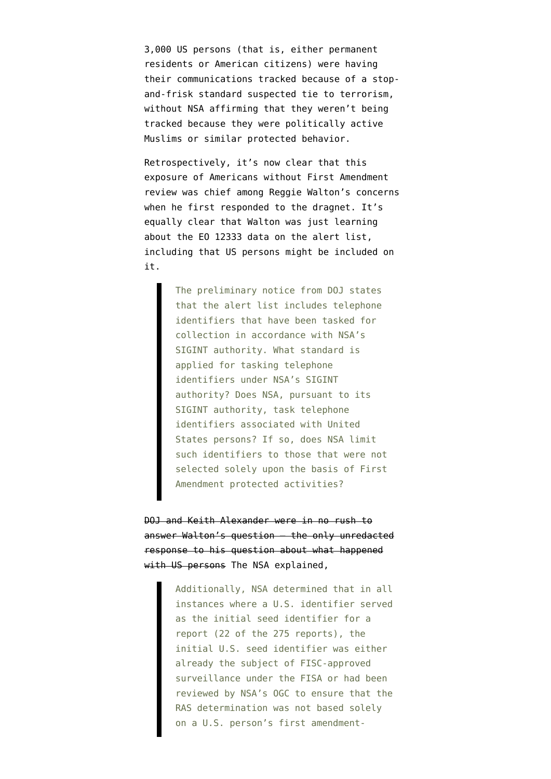3,000 US persons (that is, either permanent residents or American citizens) were having their communications tracked because of a stopand-frisk standard suspected tie to terrorism, without NSA affirming that they weren't being tracked because they were politically active Muslims or similar protected behavior.

Retrospectively, it's [now clear](https://www.aclu.org/files/assets/pub_Jan%2028%202009%20Order%20Regarding%20Prelim%20Notice%20of%20Compliance.pdf) that this exposure of Americans without First Amendment review was chief among Reggie Walton's concerns when he first responded to the dragnet. It's equally clear that Walton was just learning about the EO 12333 data on the alert list, including that US persons might be included on it.

> The preliminary notice from DOJ states that the alert list includes telephone identifiers that have been tasked for collection in accordance with NSA's SIGINT authority. What standard is applied for tasking telephone identifiers under NSA's SIGINT authority? Does NSA, pursuant to its SIGINT authority, task telephone identifiers associated with United States persons? If so, does NSA limit such identifiers to those that were not selected solely upon the basis of First Amendment protected activities?

DOJ and Keith Alexander were in no rush to answer Walton's question — the only unredacted response to his question about what happened with US persons The NSA [explained,](https://www.aclu.org/files/assets/pub_Feb%2012%202009%20Memorandum%20of%20US.pdf)

> Additionally, NSA determined that in all instances where a U.S. identifier served as the initial seed identifier for a report (22 of the 275 reports), the initial U.S. seed identifier was either already the subject of FISC-approved surveillance under the FISA or had been reviewed by NSA's OGC to ensure that the RAS determination was not based solely on a U.S. person's first amendment-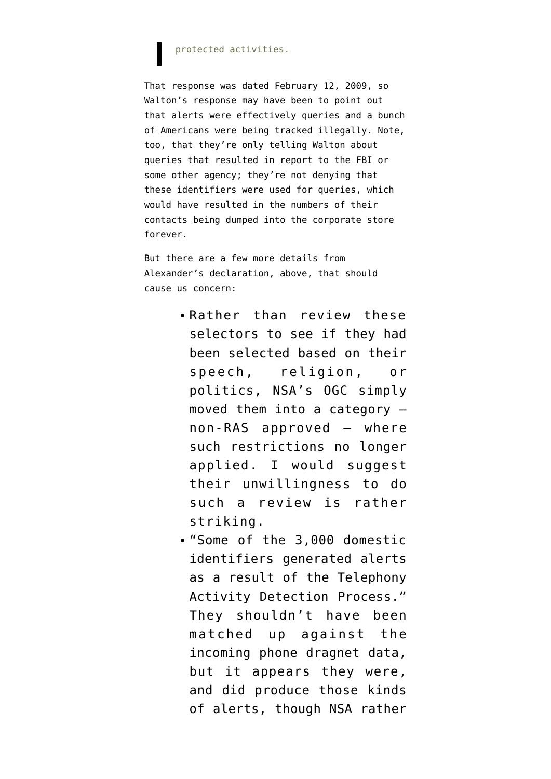#### protected activities.

That response was dated February 12, 2009, so Walton's response may have been to point out that alerts were effectively queries and a bunch of Americans were being tracked illegally. Note, too, that they're only telling Walton about queries that resulted in report to the FBI or some other agency; they're not denying that these identifiers were used for queries, which would have resulted in the numbers of their contacts being dumped into the corporate store forever.

But there are a few more details from Alexander's declaration, above, that should cause us concern:

- Rather than review these selectors to see if they had been selected based on their speech, religion, or politics, NSA's OGC simply moved them into a category non-RAS approved — where such restrictions no longer applied. I would suggest their unwillingness to do such a review is rather striking.
- "Some of the 3,000 domestic identifiers generated alerts as a result of the Telephony Activity Detection Process." They shouldn't have been matched up against the incoming phone dragnet data, but it appears they were, and did produce those kinds of alerts, though NSA rather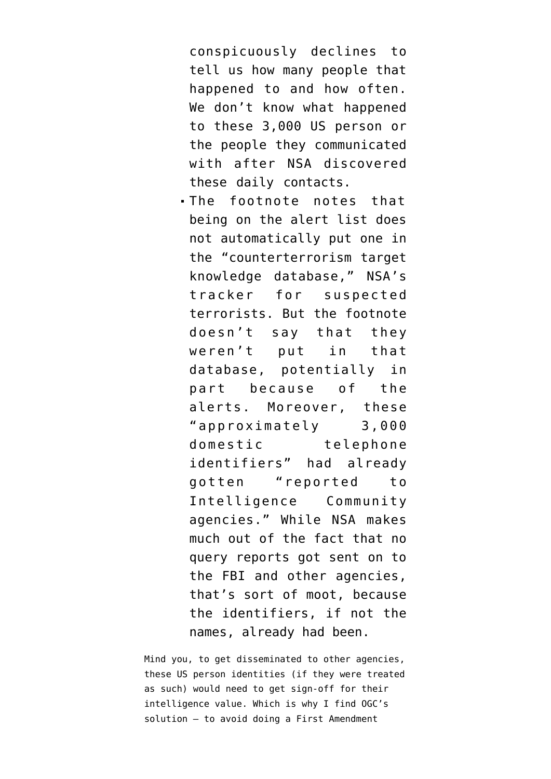conspicuously declines to tell us how many people that happened to and how often. We don't know what happened to these 3,000 US person or the people they communicated with after NSA discovered these daily contacts.

The footnote notes that being on the alert list does not automatically put one in the "counterterrorism target knowledge database," NSA's tracker for suspected terrorists. But the footnote doesn't say that they weren't put in that database, potentially in part because of the alerts. Moreover, these "approximately 3,000 domestic telephone identifiers" had already gotten "reported to Intelligence Community agencies." While NSA makes much out of the fact that no query reports got sent on to the FBI and other agencies, that's sort of moot, because the identifiers, if not the names, already had been.

Mind you, to get disseminated to other agencies, these US person identities (if they were treated as such) would need to get sign-off for their intelligence value. Which is why I find OGC's solution — to avoid doing a First Amendment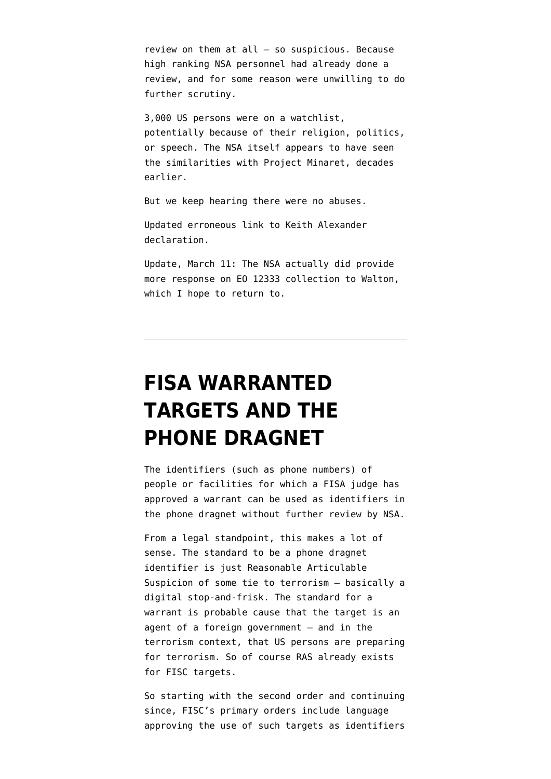review on them at all — so suspicious. Because high ranking NSA personnel had already done a review, and for some reason were unwilling to do further scrutiny.

3,000 US persons were on a watchlist, potentially because of their religion, politics, or speech. The NSA itself appears to have seen the similarities with Project Minaret, decades earlier.

But we keep hearing there were no abuses.

Updated erroneous link to Keith Alexander declaration.

Update, March 11: The NSA actually did provide more response on EO 12333 collection to Walton, which I hope to return to.

### **[FISA WARRANTED](https://www.emptywheel.net/2014/01/22/fisa-warranted-targets-and-the-phone-dragnet/) [TARGETS AND THE](https://www.emptywheel.net/2014/01/22/fisa-warranted-targets-and-the-phone-dragnet/) [PHONE DRAGNET](https://www.emptywheel.net/2014/01/22/fisa-warranted-targets-and-the-phone-dragnet/)**

The identifiers (such as phone numbers) of people or facilities for which a FISA judge has approved a warrant can be used as identifiers in the phone dragnet without further review by NSA.

From a legal standpoint, this makes a lot of sense. The standard to be a phone dragnet identifier is just Reasonable Articulable Suspicion of some tie to terrorism — basically a digital stop-and-frisk. The standard for a warrant is probable cause that the target is an agent of a foreign government — and in the terrorism context, that US persons are preparing for terrorism. So of course RAS already exists for FISC targets.

So starting with the second order and continuing since, FISC's primary orders include language approving the use of such targets as identifiers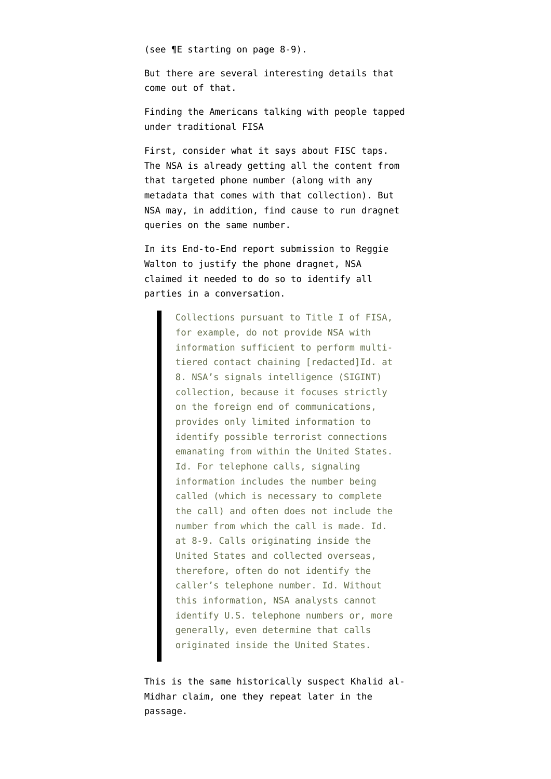([see ¶E starting on page 8-9](http://www.dni.gov/files/documents/11714/FISC%20Order,%20BR%2006-08.pdf)).

But there are several interesting details that come out of that.

Finding the Americans talking with people tapped under traditional FISA

First, consider what it says about FISC taps. The NSA is already getting all the content from that targeted phone number (along with any metadata that comes with that collection). But NSA may, in addition, find cause to run dragnet queries on the same number.

In its End-to-End report submission to Reggie Walton to justify the phone dragnet, NSA [claimed](https://www.aclu.org/files/assets/pub_August%2019%202009%20Report%20of%20the%20US%20with%20Attachments%2020130910.pdf) it needed to do so to identify all parties in a conversation.

> Collections pursuant to Title I of FISA, for example, do not provide NSA with information sufficient to perform multitiered contact chaining [redacted]Id. at 8. NSA's signals intelligence (SIGINT) collection, because it focuses strictly on the foreign end of communications, provides only limited information to identify possible terrorist connections emanating from within the United States. Id. For telephone calls, signaling information includes the number being called (which is necessary to complete the call) and often does not include the number from which the call is made. Id. at 8-9. Calls originating inside the United States and collected overseas, therefore, often do not identify the caller's telephone number. Id. Without this information, NSA analysts cannot identify U.S. telephone numbers or, more generally, even determine that calls originated inside the United States.

This is the same historically suspect Khalid al-Midhar claim, one they repeat later in the passage.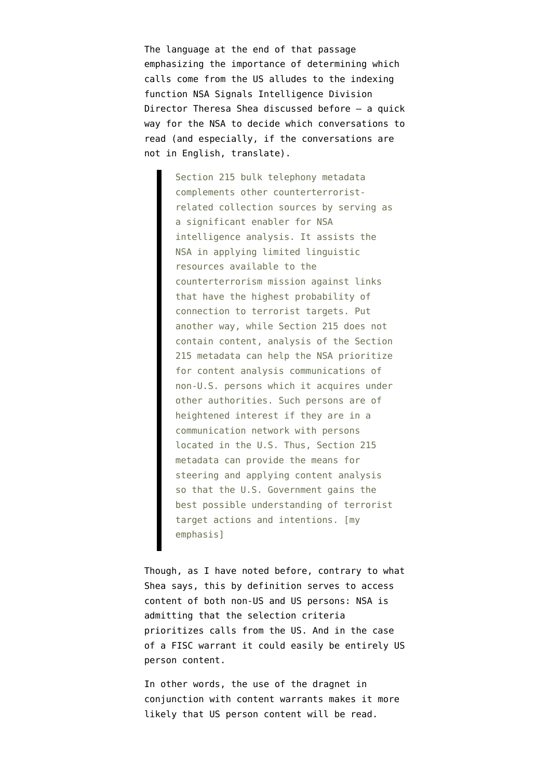The language at the end of that passage emphasizing the importance of determining which calls come from the US alludes to the indexing function NSA Signals Intelligence Division Director Theresa Shea [discussed](http://www.emptywheel.net/wp-content/uploads/2013/12/131112-Klayman-Shea-Declaration.pdf) before — a quick way for the NSA to decide which conversations to read (and especially, if the conversations are not in English, translate).

> Section 215 bulk telephony metadata complements other counterterroristrelated collection sources by serving as a significant enabler for NSA intelligence analysis. It assists the NSA in applying limited linguistic resources available to the counterterrorism mission against links that have the highest probability of connection to terrorist targets. Put another way, while Section 215 does not contain content, analysis of the Section 215 metadata can help the NSA prioritize for content analysis communications of non-U.S. persons which it acquires under other authorities. Such persons are of heightened interest if they are in a communication network with persons located in the U.S. Thus, Section 215 metadata can provide the means for steering and applying content analysis so that the U.S. Government gains the best possible understanding of terrorist target actions and intentions. [my emphasis]

Though, as I have [noted](http://www.emptywheel.net/2013/12/18/the-purposes-of-the-dragnet-revisited/) before, contrary to what Shea says, this by definition serves to access content of both non-US and US persons: NSA is admitting that the selection criteria prioritizes calls from the US. And in the case of a FISC warrant it could easily be entirely US person content.

In other words, the use of the dragnet in conjunction with content warrants makes it more likely that US person content will be read.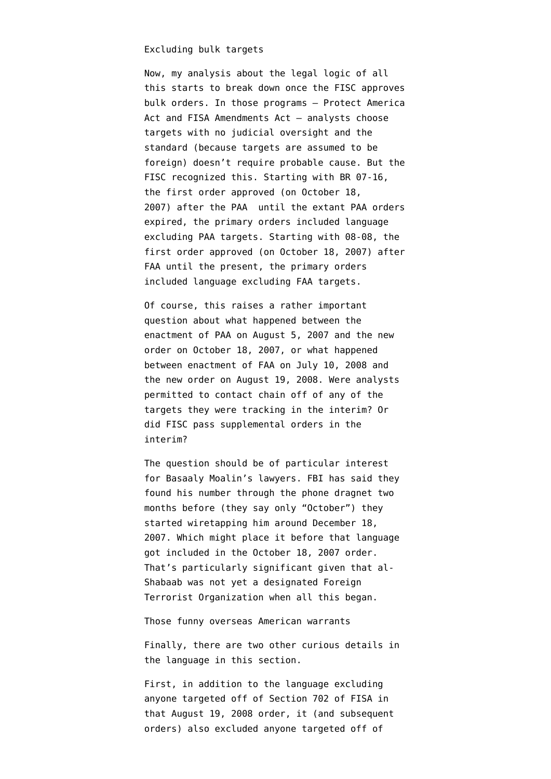#### Excluding bulk targets

Now, my analysis about the legal logic of all this starts to break down once the FISC approves bulk orders. In those programs — Protect America Act and FISA Amendments Act — analysts choose targets with no judicial oversight and the standard (because targets are assumed to be foreign) doesn't require probable cause. But the FISC recognized this. Starting with BR [07-16](http://www.dni.gov/files/documents/11714/FISC%20Order,%20BR%2007-16.pdf), the first order approved (on October 18, 2007) after the PAA until the extant PAA orders expired, the primary orders included language excluding PAA targets. Starting with [08-08](http://www.dni.gov/files/documents/11714/FISC%20Order,%20BR%2008-08.pdf), the first order approved (on October 18, 2007) after FAA until the present, the primary orders included language excluding FAA targets.

Of course, this raises a rather important question about what happened between the enactment of PAA on August 5, 2007 and the new order on October 18, 2007, or what happened between enactment of FAA on July 10, 2008 and the new order on August 19, 2008. Were analysts permitted to contact chain off of any of the targets they were tracking in the interim? Or did FISC pass supplemental orders in the interim?

The question should be of particular interest for Basaaly Moalin's lawyers. FBI has said they found his number through the phone dragnet [two](http://www.emptywheel.net/2013/08/09/nsa-speak-timely-adj-2-month-delay/) [months before](http://www.emptywheel.net/2013/08/09/nsa-speak-timely-adj-2-month-delay/) (they say only "October") they started wiretapping him around December 18, 2007. Which might place it before that language got included in the October 18, 2007 order. That's particularly significant given that al-Shabaab was not yet a designated Foreign Terrorist Organization when all this began.

Those funny overseas American warrants

Finally, there are two other curious details in the language in this section.

First, in addition to the language excluding anyone targeted off of Section 702 of FISA in that August 19, 2008 order, it (and subsequent orders) also excluded anyone targeted off of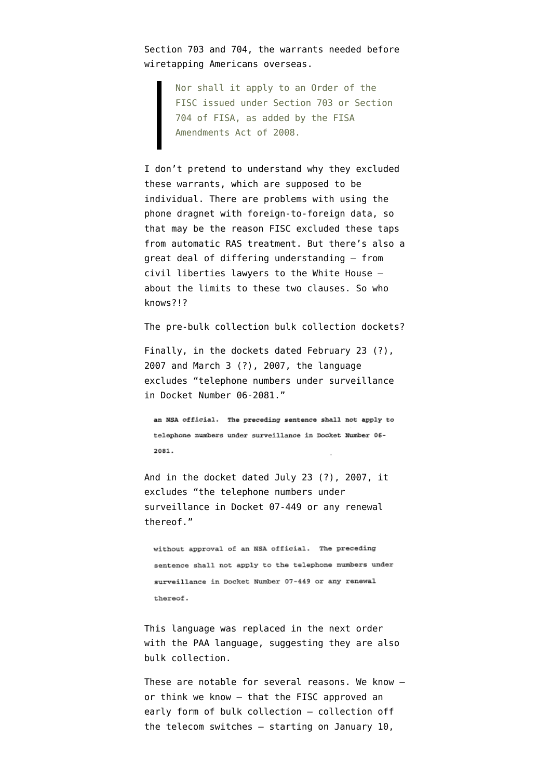Section 703 and 704, the warrants needed before wiretapping Americans overseas.

> Nor shall it apply to an Order of the FISC issued under Section 703 or Section 704 of FISA, as added by the FISA Amendments Act of 2008.

I don't pretend to understand why they excluded these warrants, which are supposed to be individual. There are problems with using the phone dragnet with foreign-to-foreign data, so that may be the reason FISC excluded these taps from automatic RAS treatment. But there's also a great deal of differing understanding — from civil liberties lawyers to the White House about the limits to these two clauses. So who knows?!?

The pre-bulk collection bulk collection dockets?

Finally, in the dockets dated [February 23 \(?\),](http://www.dni.gov/files/documents/11714/FISC%20Order,%20BR%2007-04.pdf) [2007](http://www.dni.gov/files/documents/11714/FISC%20Order,%20BR%2007-04.pdf) and [March 3 \(?\), 2007,](http://www.dni.gov/files/documents/11714/FISC%20Order,%20BR%2007-10.pdf) the language excludes "telephone numbers under surveillance in Docket Number 06-2081."

an NSA official. The preceding sentence shall not apply to telephone numbers under surveillance in Docket Number 06-2081.

And in the docket dated [July 23 \(?\), 2007,](http://www.dni.gov/files/documents/11714/FISC%20Order,%20BR%2007-14.pdf) it excludes "the telephone numbers under surveillance in Docket 07-449 or any renewal thereof."

without approval of an NSA official. The preceding sentence shall not apply to the telephone numbers under surveillance in Docket Number 07-449 or any renewal thereof.

This language was replaced in the next order with the PAA language, suggesting they are also bulk collection.

These are notable for several reasons. We know or think we know — that the FISC approved an early form of bulk collection — collection off the telecom switches — starting on January 10,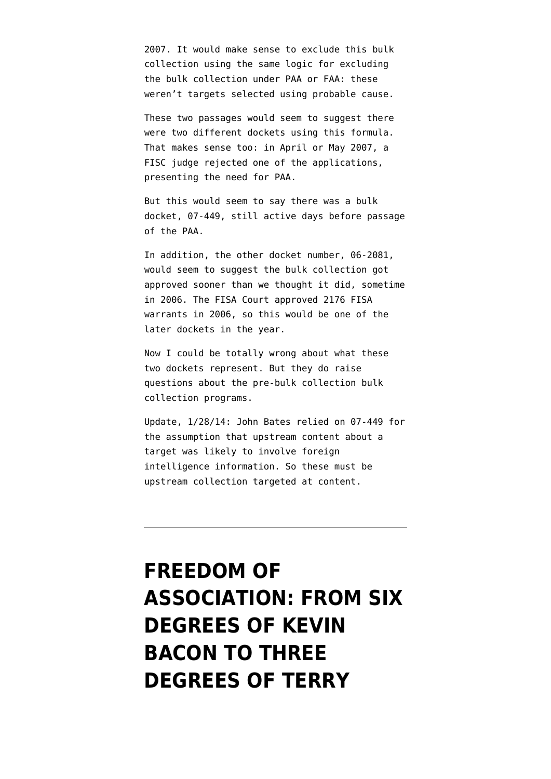2007. It would make sense to exclude this bulk collection using the same logic for excluding the bulk collection under PAA or FAA: these weren't targets selected using probable cause.

These two passages would seem to suggest there were two different dockets using this formula. That makes sense too: in April or May 2007, a FISC judge rejected one of the applications, presenting the need for PAA.

But this would seem to say there was a bulk docket, 07-449, still active days before passage of the PAA.

In addition, the other docket number, 06-2081, would seem to suggest the bulk collection got approved sooner than we thought it did, sometime in 2006. The FISA Court [approved 2176 FISA](https://epic.org/privacy/wiretap/stats/fisa_stats.html) [warrants](https://epic.org/privacy/wiretap/stats/fisa_stats.html) in 2006, so this would be one of the later dockets in the year.

Now I could be totally wrong about what these two dockets represent. But they do raise questions about the pre-bulk collection bulk collection programs.

Update, 1/28/14: John Bates [relied on 07-449](http://www.emptywheel.net/2013/10/15/about-that-may-2007-fisc-opinion/) for the assumption that upstream content about a target was likely to involve foreign intelligence information. So these must be upstream collection targeted at content.

### **[FREEDOM OF](https://www.emptywheel.net/2013/11/19/from-six-degrees-of-kevin-bacon-three-degrees-of-terry-stop/) [ASSOCIATION: FROM SIX](https://www.emptywheel.net/2013/11/19/from-six-degrees-of-kevin-bacon-three-degrees-of-terry-stop/) [DEGREES OF KEVIN](https://www.emptywheel.net/2013/11/19/from-six-degrees-of-kevin-bacon-three-degrees-of-terry-stop/) [BACON TO THREE](https://www.emptywheel.net/2013/11/19/from-six-degrees-of-kevin-bacon-three-degrees-of-terry-stop/) [DEGREES OF TERRY](https://www.emptywheel.net/2013/11/19/from-six-degrees-of-kevin-bacon-three-degrees-of-terry-stop/)**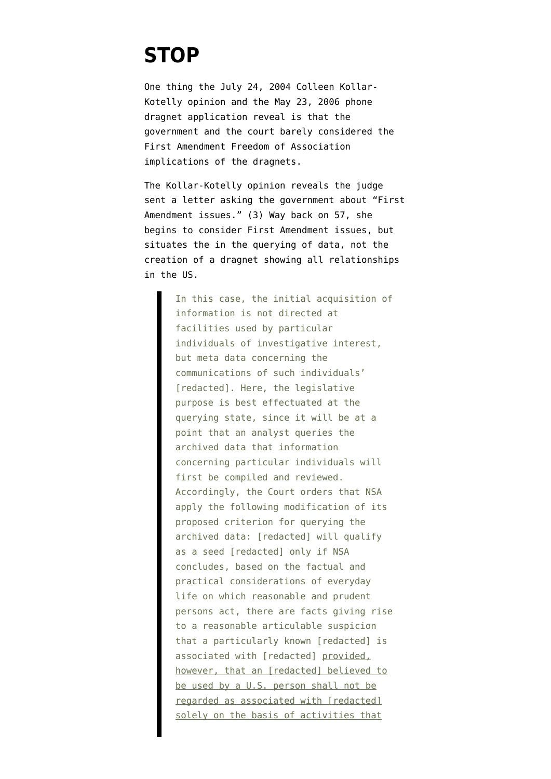### **[STOP](https://www.emptywheel.net/2013/11/19/from-six-degrees-of-kevin-bacon-three-degrees-of-terry-stop/)**

One thing the [July 24, 2004 Colleen Kollar-](http://www.dni.gov/files/documents/1118/CLEANEDPRTT%201.pdf)[Kotelly opinion](http://www.dni.gov/files/documents/1118/CLEANEDPRTT%201.pdf) and the [May 23, 2006 phone](http://www.dni.gov/files/documents/1118/CLEANED016.%20REDACTED%20BR%2006-05%20Exhibits%20C%20%28Memo%20of%20Law%29%20and%20D-Sealed.pdf) [dragnet application](http://www.dni.gov/files/documents/1118/CLEANED016.%20REDACTED%20BR%2006-05%20Exhibits%20C%20%28Memo%20of%20Law%29%20and%20D-Sealed.pdf) reveal is that the government and the court barely considered the First Amendment Freedom of Association implications of the dragnets.

The Kollar-Kotelly opinion reveals the judge sent a letter asking the government about "First Amendment issues." (3) Way back on 57, she begins to consider First Amendment issues, but situates the in the querying of data, not the creation of a dragnet showing all relationships in the US.

> In this case, the initial acquisition of information is not directed at facilities used by particular individuals of investigative interest, but meta data concerning the communications of such individuals' [redacted]. Here, the legislative purpose is best effectuated at the querying state, since it will be at a point that an analyst queries the archived data that information concerning particular individuals will first be compiled and reviewed. Accordingly, the Court orders that NSA apply the following modification of its proposed criterion for querying the archived data: [redacted] will qualify as a seed [redacted] only if NSA concludes, based on the factual and practical considerations of everyday life on which reasonable and prudent persons act, there are facts giving rise to a reasonable articulable suspicion that a particularly known [redacted] is associated with [redacted] provided, however, that an [redacted] believed to be used by a U.S. person shall not be regarded as associated with [redacted] solely on the basis of activities that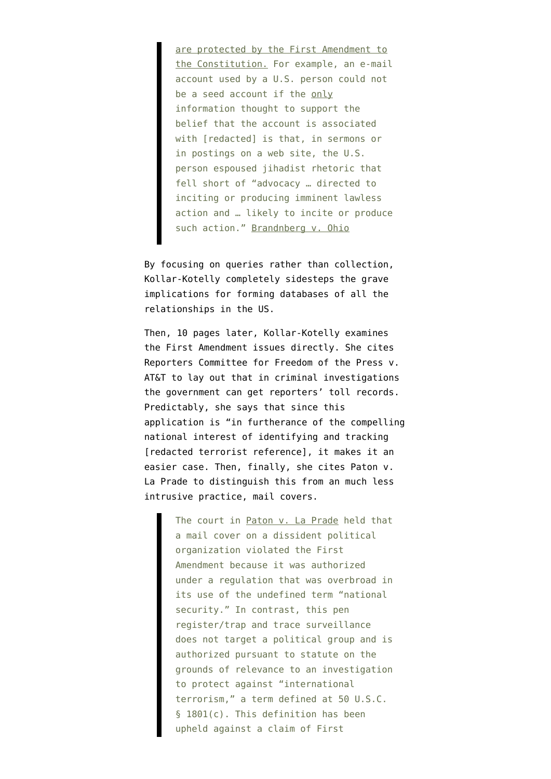are protected by the First Amendment to the Constitution. For example, an e-mail account used by a U.S. person could not be a seed account if the only information thought to support the belief that the account is associated with [redacted] is that, in sermons or in postings on a web site, the U.S. person espoused jihadist rhetoric that fell short of "advocacy … directed to inciting or producing imminent lawless action and … likely to incite or produce such action." Brandnberg v. Ohio

By focusing on queries rather than collection, Kollar-Kotelly completely sidesteps the grave implications for forming databases of all the relationships in the US.

Then, 10 pages later, Kollar-Kotelly examines the First Amendment issues directly. She cites Reporters Committee for Freedom of the Press v. AT&T to lay out that in criminal investigations the government can get reporters' toll records. Predictably, she says that since this application is "in furtherance of the compelling national interest of identifying and tracking [redacted terrorist reference], it makes it an easier case. Then, finally, she cites Paton v. La Prade to distinguish this from an much less intrusive practice, mail covers.

> The court in Paton v. La Prade held that a mail cover on a dissident political organization violated the First Amendment because it was authorized under a regulation that was overbroad in its use of the undefined term "national security." In contrast, this pen register/trap and trace surveillance does not target a political group and is authorized pursuant to statute on the grounds of relevance to an investigation to protect against "international terrorism," a term defined at 50 U.S.C. § 1801(c). This definition has been upheld against a claim of First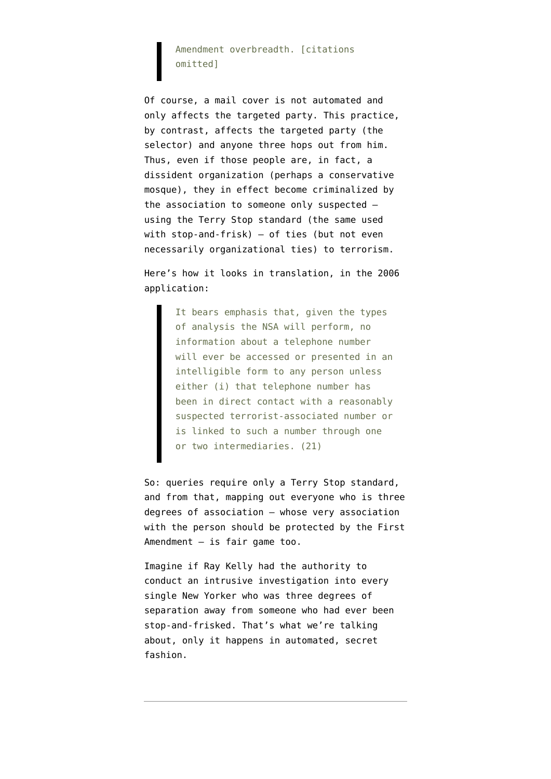### Amendment overbreadth. [citations omitted]

Of course, a mail cover is not automated and only affects the targeted party. This practice, by contrast, affects the targeted party (the selector) and anyone three hops out from him. Thus, even if those people are, in fact, a dissident organization (perhaps a conservative mosque), they in effect become criminalized by the association to someone only suspected using the Terry Stop standard (the same used with stop-and-frisk) — of ties (but not even necessarily organizational ties) to terrorism.

Here's how it looks in translation, in the 2006 application:

> It bears emphasis that, given the types of analysis the NSA will perform, no information about a telephone number will ever be accessed or presented in an intelligible form to any person unless either (i) that telephone number has been in direct contact with a reasonably suspected terrorist-associated number or is linked to such a number through one or two intermediaries. (21)

So: queries require only a Terry Stop standard, and from that, mapping out everyone who is three degrees of association — whose very association with the person should be protected by the First Amendment — is fair game too.

Imagine if Ray Kelly had the authority to conduct an intrusive investigation into every single New Yorker who was three degrees of separation away from someone who had ever been stop-and-frisked. That's what we're talking about, only it happens in automated, secret fashion.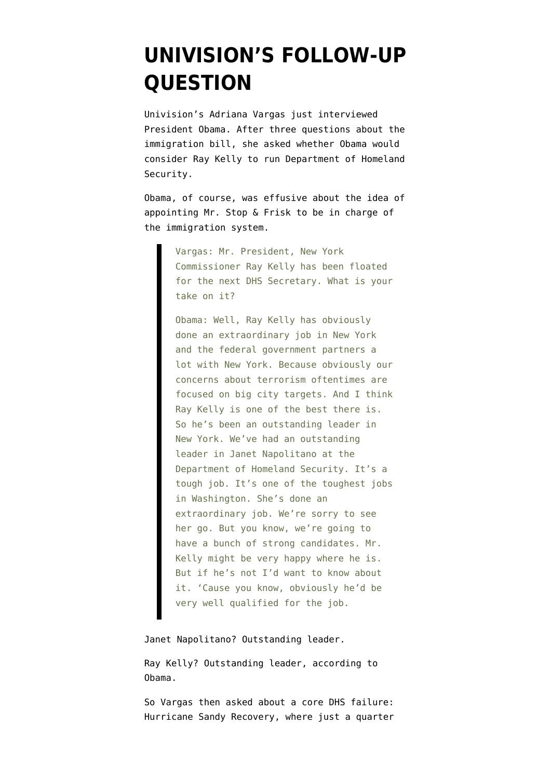### **[UNIVISION'S FOLLOW-UP](https://www.emptywheel.net/2013/07/16/univisions-follow-up-question/) [QUESTION](https://www.emptywheel.net/2013/07/16/univisions-follow-up-question/)**

Univision's Adriana Vargas just interviewed President Obama. After three questions about the immigration bill, she asked whether Obama would consider Ray Kelly to run Department of Homeland Security.

Obama, of course, was effusive about the idea of appointing Mr. Stop & Frisk to be in charge of the immigration system.

> Vargas: Mr. President, New York Commissioner Ray Kelly has been floated for the next DHS Secretary. What is your take on it?

> Obama: Well, Ray Kelly has obviously done an extraordinary job in New York and the federal government partners a lot with New York. Because obviously our concerns about terrorism oftentimes are focused on big city targets. And I think Ray Kelly is one of the best there is. So he's been an outstanding leader in New York. We've had an outstanding leader in Janet Napolitano at the Department of Homeland Security. It's a tough job. It's one of the toughest jobs in Washington. She's done an extraordinary job. We're sorry to see her go. But you know, we're going to have a bunch of strong candidates. Mr. Kelly might be very happy where he is. But if he's not I'd want to know about it. 'Cause you know, obviously he'd be very well qualified for the job.

Janet Napolitano? Outstanding leader.

Ray Kelly? Outstanding leader, according to Obama.

So Vargas then asked about a core DHS failure: Hurricane Sandy Recovery, where just a quarter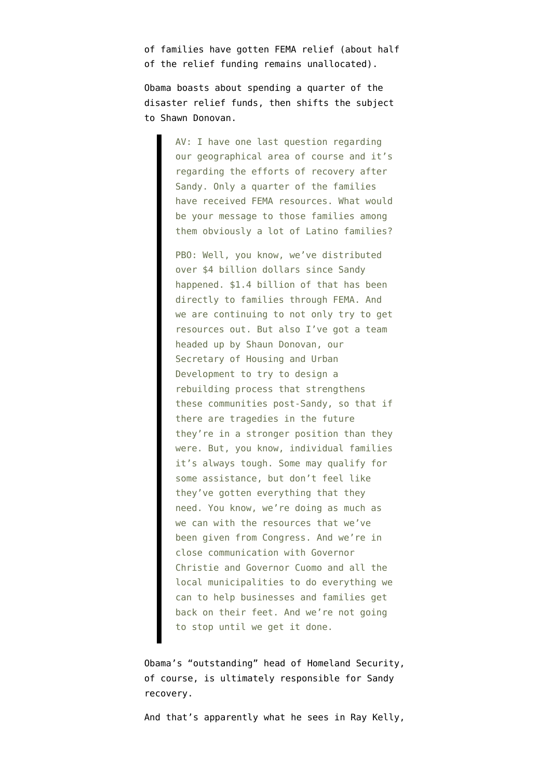of families have gotten FEMA relief [\(about half](http://www.fema.gov/library/file;jsessionid=C4FBBE4707FBA5D0D550C2395F610D65.WorkerPublic2?type=publishedFile&file=508_fema_drf___through_6_30_2013.pdf&fileid=d86ca2b0-e5ac-11e2-89b0-001cc4568fb6) [of the relief funding](http://www.fema.gov/library/file;jsessionid=C4FBBE4707FBA5D0D550C2395F610D65.WorkerPublic2?type=publishedFile&file=508_fema_drf___through_6_30_2013.pdf&fileid=d86ca2b0-e5ac-11e2-89b0-001cc4568fb6) remains unallocated).

Obama boasts about spending a quarter of the disaster relief funds, then shifts the subject to Shawn Donovan.

> AV: I have one last question regarding our geographical area of course and it's regarding the efforts of recovery after Sandy. Only a quarter of the families have received FEMA resources. What would be your message to those families among them obviously a lot of Latino families?

> PBO: Well, you know, we've distributed over \$4 billion dollars since Sandy happened. \$1.4 billion of that has been directly to families through FEMA. And we are continuing to not only try to get resources out. But also I've got a team headed up by Shaun Donovan, our Secretary of Housing and Urban Development to try to design a rebuilding process that strengthens these communities post-Sandy, so that if there are tragedies in the future they're in a stronger position than they were. But, you know, individual families it's always tough. Some may qualify for some assistance, but don't feel like they've gotten everything that they need. You know, we're doing as much as we can with the resources that we've been given from Congress. And we're in close communication with Governor Christie and Governor Cuomo and all the local municipalities to do everything we can to help businesses and families get back on their feet. And we're not going to stop until we get it done.

Obama's "outstanding" head of Homeland Security, of course, is ultimately responsible for Sandy recovery.

And that's apparently what he sees in Ray Kelly,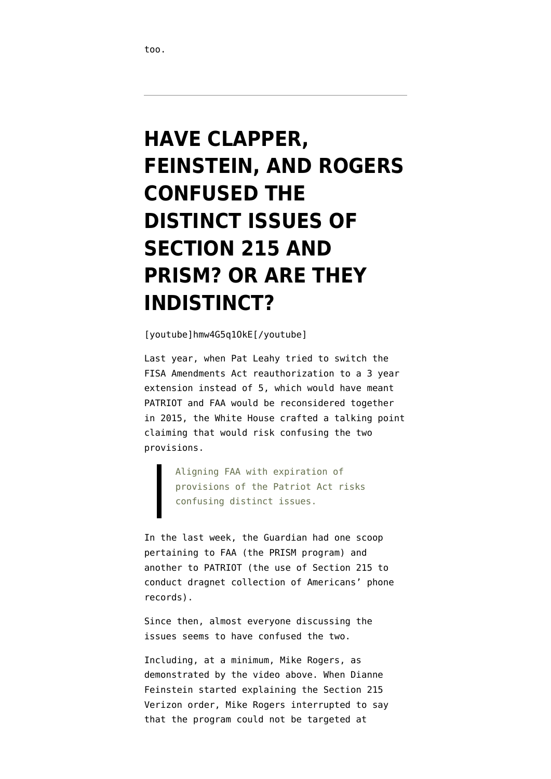# **[HAVE CLAPPER,](https://www.emptywheel.net/2013/06/11/have-clapper-feinstein-and-rogers-confused-the-distinct-issues-of-section-215-and-prism-or-are-they-indistinct/) [FEINSTEIN, AND ROGERS](https://www.emptywheel.net/2013/06/11/have-clapper-feinstein-and-rogers-confused-the-distinct-issues-of-section-215-and-prism-or-are-they-indistinct/) [CONFUSED THE](https://www.emptywheel.net/2013/06/11/have-clapper-feinstein-and-rogers-confused-the-distinct-issues-of-section-215-and-prism-or-are-they-indistinct/) [DISTINCT ISSUES OF](https://www.emptywheel.net/2013/06/11/have-clapper-feinstein-and-rogers-confused-the-distinct-issues-of-section-215-and-prism-or-are-they-indistinct/) [SECTION 215 AND](https://www.emptywheel.net/2013/06/11/have-clapper-feinstein-and-rogers-confused-the-distinct-issues-of-section-215-and-prism-or-are-they-indistinct/) [PRISM? OR ARE THEY](https://www.emptywheel.net/2013/06/11/have-clapper-feinstein-and-rogers-confused-the-distinct-issues-of-section-215-and-prism-or-are-they-indistinct/) [INDISTINCT?](https://www.emptywheel.net/2013/06/11/have-clapper-feinstein-and-rogers-confused-the-distinct-issues-of-section-215-and-prism-or-are-they-indistinct/)**

[youtube]hmw4G5q1OkE[/youtube]

Last year, when Pat Leahy tried to switch the FISA Amendments Act reauthorization to a 3 year extension instead of 5, which would have meant PATRIOT and FAA would be reconsidered together in 2015, the White House [crafted a talking point](https://www.documentcloud.org/documents/549956-short-version-of-faa-talking-points-v-3-clean.html) claiming that would risk confusing the two provisions.

> Aligning FAA with expiration of provisions of the Patriot Act risks confusing distinct issues.

In the last week, the Guardian had one scoop pertaining to FAA (the PRISM program) and another to PATRIOT (the use of Section 215 to conduct dragnet collection of Americans' phone records).

Since then, almost everyone discussing the issues seems to have confused the two.

Including, at a minimum, Mike Rogers, as demonstrated by the video above. When Dianne Feinstein started explaining the Section 215 Verizon order, Mike Rogers interrupted to say that the program could not be targeted at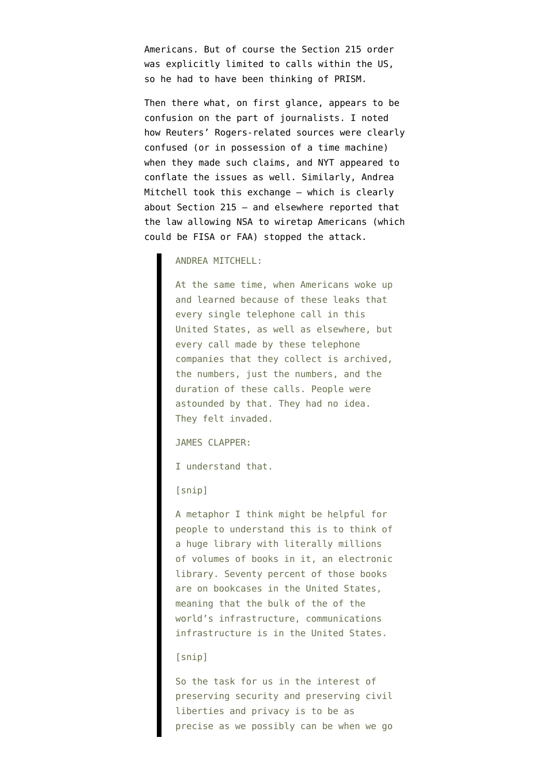Americans. But of course the Section 215 order was explicitly limited to calls within the US, so he had to have been thinking of PRISM.

Then there what, on first glance, appears to be confusion on the part of journalists. I noted how [Reuters' Rogers-related sources were clearly](http://in.reuters.com/article/2013/06/07/usa-internet-subway-plot-idINDEE9560EW20130607) [confused](http://in.reuters.com/article/2013/06/07/usa-internet-subway-plot-idINDEE9560EW20130607) (or in possession of a time machine) when they made such claims, and [NYT appeared](http://www.nytimes.com/2013/06/08/us/mining-of-data-is-called-crucial-to-fight-terror.html?pagewanted=2) to conflate the issues as well. Similarly, Andrea Mitchell [took this exchange](http://www.nbcumv.com/mediavillage/networks/nbcnews/pressreleases?pr=contents/press-releases/2013/06/09/nbcnewsexclusiv1370799482417.xml) — which is clearly about Section 215 — and elsewhere reported that the law allowing NSA to wiretap Americans (which could be FISA or FAA) stopped the attack.

#### ANDREA MITCHELL:

At the same time, when Americans woke up and learned because of these leaks that every single telephone call in this United States, as well as elsewhere, but every call made by these telephone companies that they collect is archived, the numbers, just the numbers, and the duration of these calls. People were astounded by that. They had no idea. They felt invaded.

JAMES CLAPPER:

I understand that.

[snip]

A metaphor I think might be helpful for people to understand this is to think of a huge library with literally millions of volumes of books in it, an electronic library. Seventy percent of those books are on bookcases in the United States, meaning that the bulk of the of the world's infrastructure, communications infrastructure is in the United States.

#### [snip]

So the task for us in the interest of preserving security and preserving civil liberties and privacy is to be as precise as we possibly can be when we go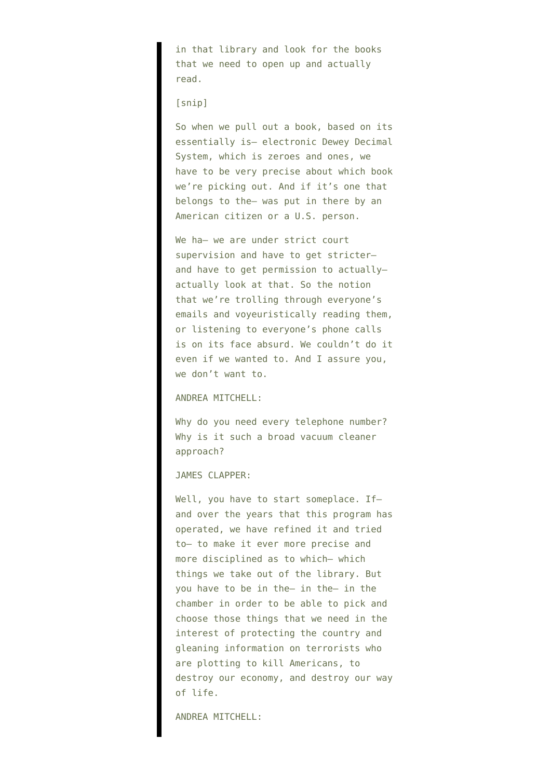in that library and look for the books that we need to open up and actually read.

#### [snip]

So when we pull out a book, based on its essentially is– electronic Dewey Decimal System, which is zeroes and ones, we have to be very precise about which book we're picking out. And if it's one that belongs to the– was put in there by an American citizen or a U.S. person.

We ha- we are under strict court supervision and have to get stricter– and have to get permission to actually– actually look at that. So the notion that we're trolling through everyone's emails and voyeuristically reading them, or listening to everyone's phone calls is on its face absurd. We couldn't do it even if we wanted to. And I assure you, we don't want to.

#### ANDREA MITCHELL:

Why do you need every telephone number? Why is it such a broad vacuum cleaner approach?

#### JAMES CLAPPER:

Well, you have to start someplace. Ifand over the years that this program has operated, we have refined it and tried to– to make it ever more precise and more disciplined as to which– which things we take out of the library. But you have to be in the– in the– in the chamber in order to be able to pick and choose those things that we need in the interest of protecting the country and gleaning information on terrorists who are plotting to kill Americans, to destroy our economy, and destroy our way of life.

#### ANDREA MITCHELL: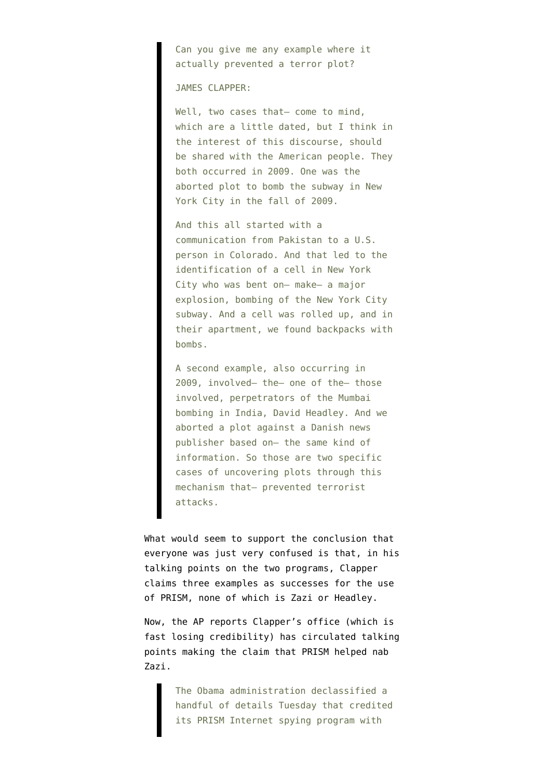Can you give me any example where it actually prevented a terror plot?

JAMES CLAPPER:

Well, two cases that- come to mind, which are a little dated, but I think in the interest of this discourse, should be shared with the American people. They both occurred in 2009. One was the aborted plot to bomb the subway in New York City in the fall of 2009.

And this all started with a communication from Pakistan to a U.S. person in Colorado. And that led to the identification of a cell in New York City who was bent on– make– a major explosion, bombing of the New York City subway. And a cell was rolled up, and in their apartment, we found backpacks with bombs.

A second example, also occurring in 2009, involved– the– one of the– those involved, perpetrators of the Mumbai bombing in India, David Headley. And we aborted a plot against a Danish news publisher based on– the same kind of information. So those are two specific cases of uncovering plots through this mechanism that– prevented terrorist attacks.

What would seem to support the conclusion that everyone was just very confused is that, in his talking points on the two programs, Clapper [claims](http://www.dni.gov/files/documents/Facts%20on%20the%20Collection%20of%20Intelligence%20Pursuant%20to%20Section%20702.pdf) three examples as successes for the use of PRISM, none of which is Zazi or Headley.

Now, the AP [reports](http://news.yahoo.com/nyc-bomb-plot-details-settle-little-nsa-debate-194730602.html) Clapper's office (which is fast losing credibility) has circulated talking points making the claim that PRISM helped nab Zazi.

> The Obama administration declassified a handful of details Tuesday that credited its PRISM Internet spying program with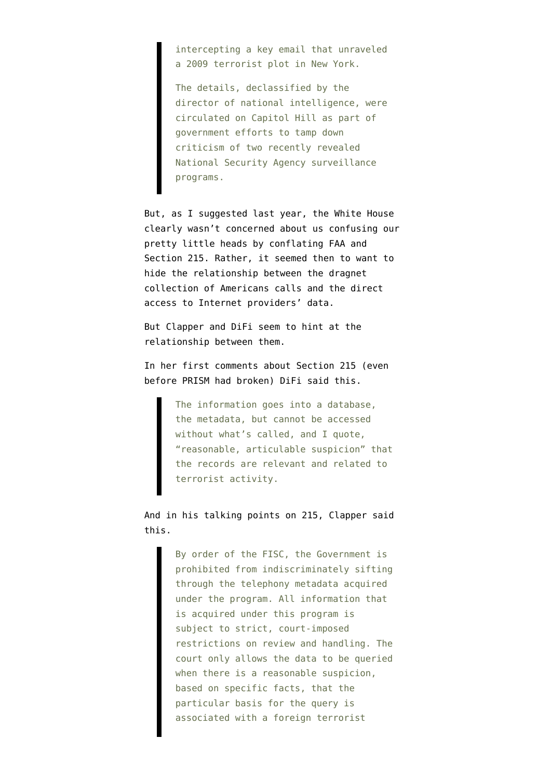intercepting a key email that unraveled a 2009 terrorist plot in New York.

The details, declassified by the director of national intelligence, were circulated on Capitol Hill as part of government efforts to tamp down criticism of two recently revealed National Security Agency surveillance programs.

But, as I [suggested](http://www.emptywheel.net/2012/12/29/wiretapping-your-business-records-the-white-house-doesnt-want-you-to-be-confused/) last year, the White House clearly wasn't concerned about us confusing our pretty little heads by conflating FAA and Section 215. Rather, it seemed then to want to hide the relationship between the dragnet collection of Americans calls and the direct access to Internet providers' data.

But Clapper and DiFi seem to hint at the relationship between them.

In her first comments about Section 215 (even before PRISM had broken) DiFi [said this.](http://www.washingtonpost.com/blogs/post-politics/wp/2013/06/06/transcript-dianne-feinstein-saxby-chambliss-explain-defend-nsa-phone-records-program/)

> The information goes into a database, the metadata, but cannot be accessed without what's called, and I quote, "reasonable, articulable suspicion" that the records are relevant and related to terrorist activity.

And in his talking points on 215, Clapper said this.

> By order of the FISC, the Government is prohibited from indiscriminately sifting through the telephony metadata acquired under the program. All information that is acquired under this program is subject to strict, court-imposed restrictions on review and handling. The court only allows the data to be queried when there is a reasonable suspicion, based on specific facts, that the particular basis for the query is associated with a foreign terrorist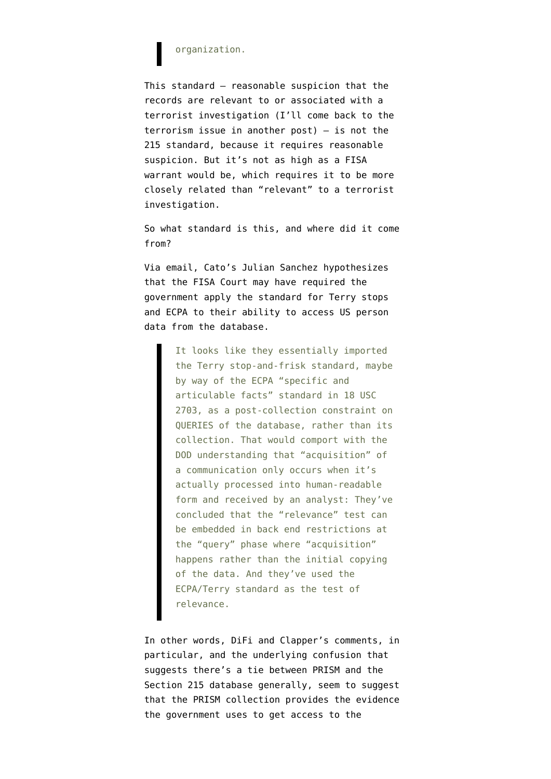#### organization.

This standard — reasonable suspicion that the records are relevant to or associated with a terrorist investigation (I'll come back to the terrorism issue in another post) — is not the 215 standard, because it requires reasonable suspicion. But it's not as high as a FISA warrant would be, which requires it to be more closely related than "relevant" to a terrorist investigation.

So what standard is this, and where did it come from?

Via email, Cato's Julian Sanchez hypothesizes that the FISA Court may have required the government apply the standard for Terry stops and ECPA to their ability to access US person data from the database.

> It looks like they essentially imported the Terry stop-and-frisk standard, maybe by way of the ECPA "specific and articulable facts" standard in 18 USC 2703, as a post-collection constraint on QUERIES of the database, rather than its collection. That would comport with the DOD understanding that "acquisition" of a communication only occurs when it's actually processed into human-readable form and received by an analyst: They've concluded that the "relevance" test can be embedded in back end restrictions at the "query" phase where "acquisition" happens rather than the initial copying of the data. And they've used the ECPA/Terry standard as the test of relevance.

In other words, DiFi and Clapper's comments, in particular, and the underlying confusion that suggests there's a tie between PRISM and the Section 215 database generally, seem to suggest that the PRISM collection provides the evidence the government uses to get access to the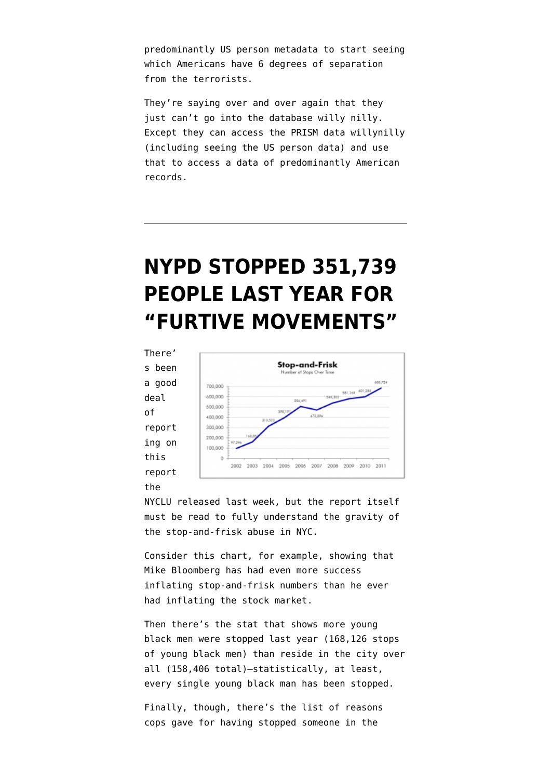predominantly US person metadata to start seeing which Americans have 6 degrees of separation from the terrorists.

They're saying over and over again that they just can't go into the database willy nilly. Except they can access the PRISM data willynilly (including seeing the US person data) and use that to access a data of predominantly American records.

# **[NYPD STOPPED 351,739](https://www.emptywheel.net/2012/05/14/nypd-stopped-351739-people-last-year-for-furtive-movements/) [PEOPLE LAST YEAR FOR](https://www.emptywheel.net/2012/05/14/nypd-stopped-351739-people-last-year-for-furtive-movements/) ["FURTIVE MOVEMENTS"](https://www.emptywheel.net/2012/05/14/nypd-stopped-351739-people-last-year-for-furtive-movements/)**

There' s been a good deal of report ing on this [report](http://www.nyclu.org/files/publications/NYCLU_2011_Stop-and-Frisk_Report.pdf)

[the](http://www.nyclu.org/files/publications/NYCLU_2011_Stop-and-Frisk_Report.pdf)



[NYCLU released last week,](http://www.nyclu.org/files/publications/NYCLU_2011_Stop-and-Frisk_Report.pdf) but the report itself must be read to fully understand the gravity of the stop-and-frisk abuse in NYC.

Consider this chart, for example, showing that Mike Bloomberg has had even more success inflating stop-and-frisk numbers than he ever had inflating the stock market.

Then there's the stat that shows more young black men were stopped last year (168,126 stops of young black men) than reside in the city over all (158,406 total)–statistically, at least, every single young black man has been stopped.

Finally, though, there's the list of reasons cops gave for having stopped someone in the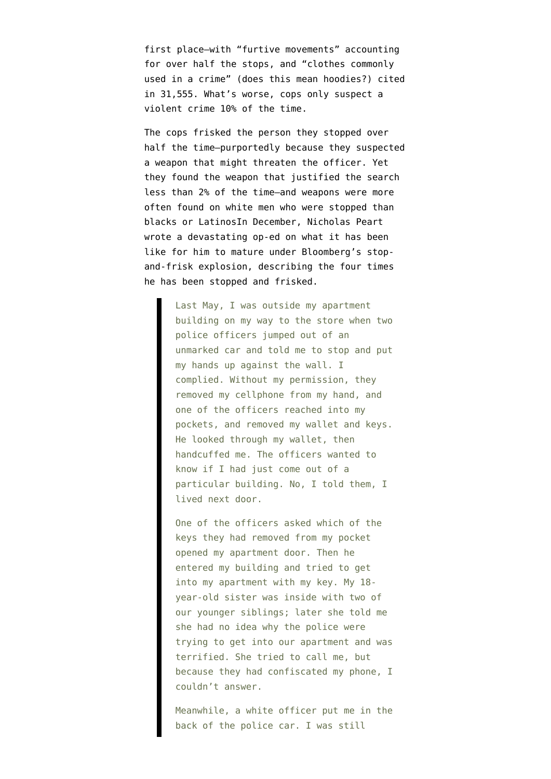first place–with "furtive movements" accounting for over half the stops, and "clothes commonly used in a crime" (does this mean hoodies?) cited in 31,555. What's worse, cops only suspect a violent crime 10% of the time.

The cops frisked the person they stopped over half the time–purportedly because they suspected a weapon that might threaten the officer. Yet they found the weapon that justified the search less than 2% of the time–and weapons were more often found on white men who were stopped than blacks or LatinosIn December, Nicholas Peart [wrote a devastating op-ed](https://www.nytimes.com/2011/12/18/opinion/sunday/young-black-and-frisked-by-the-nypd.html?pagewanted=all) on what it has been like for him to mature under Bloomberg's stopand-frisk explosion, describing the four times he has been stopped and frisked.

> Last May, I was outside my apartment building on my way to the store when two police officers jumped out of an unmarked car and told me to stop and put my hands up against the wall. I complied. Without my permission, they removed my cellphone from my hand, and one of the officers reached into my pockets, and removed my wallet and keys. He looked through my wallet, then handcuffed me. The officers wanted to know if I had just come out of a particular building. No, I told them, I lived next door.

> One of the officers asked which of the keys they had removed from my pocket opened my apartment door. Then he entered my building and tried to get into my apartment with my key. My 18 year-old sister was inside with two of our younger siblings; later she told me she had no idea why the police were trying to get into our apartment and was terrified. She tried to call me, but because they had confiscated my phone, I couldn't answer.

> Meanwhile, a white officer put me in the back of the police car. I was still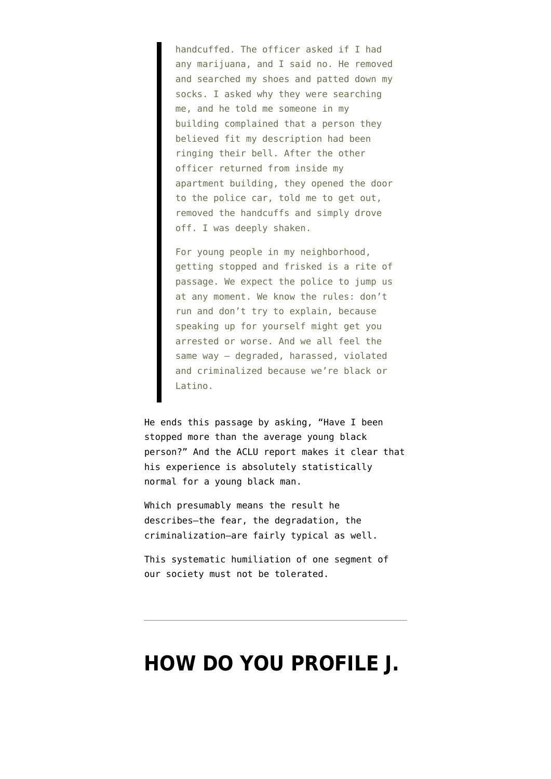handcuffed. The officer asked if I had any marijuana, and I said no. He removed and searched my shoes and patted down my socks. I asked why they were searching me, and he told me someone in my building complained that a person they believed fit my description had been ringing their bell. After the other officer returned from inside my apartment building, they opened the door to the police car, told me to get out, removed the handcuffs and simply drove off. I was deeply shaken.

For young people in my neighborhood, getting stopped and frisked is a rite of passage. We expect the police to jump us at any moment. We know the rules: don't run and don't try to explain, because speaking up for yourself might get you arrested or worse. And we all feel the same way — degraded, harassed, violated and criminalized because we're black or Latino.

He ends this passage by asking, "Have I been stopped more than the average young black person?" And the ACLU report makes it clear that his experience is absolutely statistically normal for a young black man.

Which presumably means the result he describes–the fear, the degradation, the criminalization–are fairly typical as well.

This systematic humiliation of one segment of our society must not be tolerated.

### **[HOW DO YOU PROFILE J.](https://www.emptywheel.net/2012/02/04/how-do-you-profile-j-edgar-kelly-with-almost-no-mention-of-domestic-spying/)**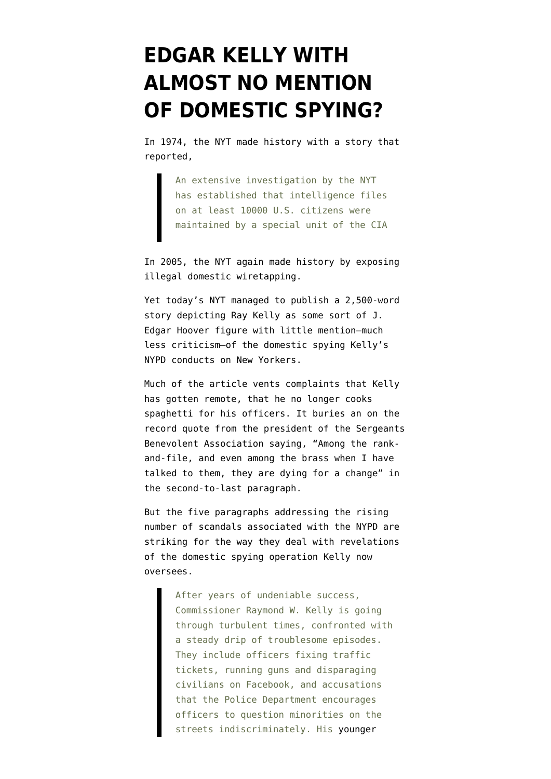### **[EDGAR KELLY WITH](https://www.emptywheel.net/2012/02/04/how-do-you-profile-j-edgar-kelly-with-almost-no-mention-of-domestic-spying/) [ALMOST NO MENTION](https://www.emptywheel.net/2012/02/04/how-do-you-profile-j-edgar-kelly-with-almost-no-mention-of-domestic-spying/) [OF DOMESTIC SPYING?](https://www.emptywheel.net/2012/02/04/how-do-you-profile-j-edgar-kelly-with-almost-no-mention-of-domestic-spying/)**

In 1974, the NYT [made history](https://www.documentcloud.org/documents/238963-huge-c-i-a-operation-reported-in-u-s-against.html) with a story that reported,

> An extensive investigation by the NYT has established that intelligence files on at least 10000 U.S. citizens were maintained by a special unit of the CIA

In 2005, the NYT again made history by [exposing](https://www.nytimes.com/2005/12/16/politics/16program.html?pagewanted=all) [illegal domestic wiretapping](https://www.nytimes.com/2005/12/16/politics/16program.html?pagewanted=all).

Yet today's NYT managed to publish a [2,500-word](https://www.nytimes.com/2012/02/04/nyregion/raymond-w-kelly-nypd-commissioner-runs-into-turbulence.html?pagewanted=print) [story depicting Ray Kelly as some sort of J.](https://www.nytimes.com/2012/02/04/nyregion/raymond-w-kelly-nypd-commissioner-runs-into-turbulence.html?pagewanted=print) [Edgar Hoover figure](https://www.nytimes.com/2012/02/04/nyregion/raymond-w-kelly-nypd-commissioner-runs-into-turbulence.html?pagewanted=print) with little mention–much less criticism–of the domestic spying Kelly's NYPD conducts on New Yorkers.

Much of the article vents complaints that Kelly has gotten remote, that he no longer cooks spaghetti for his officers. It buries an on the record quote from the president of the Sergeants Benevolent Association saying, "Among the rankand-file, and even among the brass when I have talked to them, they are dying for a change" in the second-to-last paragraph.

But the five paragraphs addressing the rising number of scandals associated with the NYPD are striking for the way they deal with revelations of the domestic spying operation Kelly now oversees.

> After years of undeniable success, Commissioner Raymond W. Kelly is going through turbulent times, confronted with a steady drip of troublesome episodes. They include officers fixing traffic tickets, running guns and disparaging civilians on Facebook, and accusations that the Police Department encourages officers to question minorities on the streets indiscriminately. His [younger](http://www.nytimes.com/2012/01/26/nyregion/greg-kelly-police-commissioners-son-in-rape-investigation.html)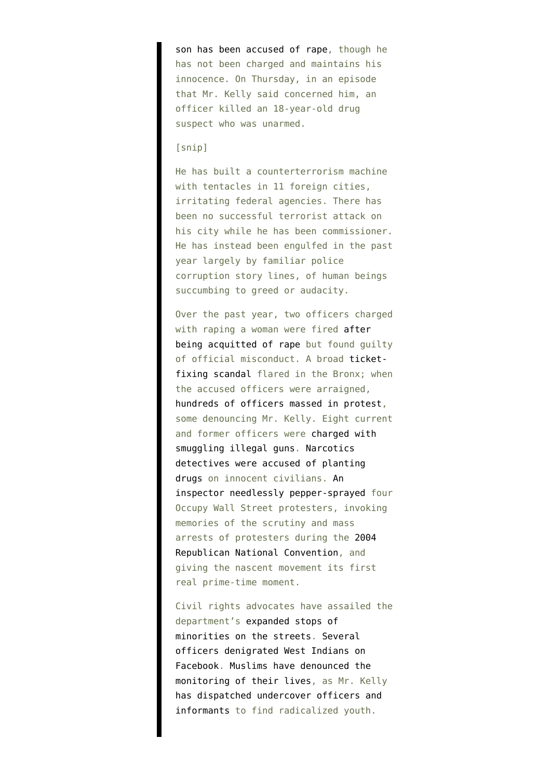[son has been accused of rape](http://www.nytimes.com/2012/01/26/nyregion/greg-kelly-police-commissioners-son-in-rape-investigation.html), though he has not been charged and maintains his innocence. On Thursday, in an episode that Mr. Kelly said concerned him, an officer killed an 18-year-old drug suspect who was unarmed.

#### [snip]

He has built a counterterrorism machine with tentacles in 11 foreign cities, irritating federal agencies. There has been no successful terrorist attack on his city while he has been commissioner. He has instead been engulfed in the past year largely by familiar police corruption story lines, of human beings succumbing to greed or audacity.

Over the past year, two officers charged with raping a woman were fired [after](http://www.nytimes.com/2011/05/27/nyregion/two-new-york-city-police-officers-acquitted-of-rape.html?pagewanted=all) [being acquitted of rape](http://www.nytimes.com/2011/05/27/nyregion/two-new-york-city-police-officers-acquitted-of-rape.html?pagewanted=all) but found quilty of official misconduct. A broad [ticket](http://topics.nytimes.com/top/reference/timestopics/organizations/n/new_york_city_police_department/ticketfixing_scandal/index.html)[fixing scandal](http://topics.nytimes.com/top/reference/timestopics/organizations/n/new_york_city_police_department/ticketfixing_scandal/index.html) flared in the Bronx; when the accused officers were arraigned, [hundreds of officers massed in protest,](http://www.nytimes.com/2011/10/29/nyregion/officers-unleash-anger-at-ticket-fixing-arraignments-in-the-bronx.html?pagewanted=all) some denouncing Mr. Kelly. Eight current and former officers were [charged with](http://www.nytimes.com/2011/10/26/nyregion/new-york-officers-accused-of-smuggling-guns.html?pagewanted=all) [smuggling illegal guns.](http://www.nytimes.com/2011/10/26/nyregion/new-york-officers-accused-of-smuggling-guns.html?pagewanted=all) [Narcotics](http://www.nytimes.com/2011/11/02/nyregion/brooklyn-detective-convicted-of-planting-drugs-on-innocent-people.html) [detectives were accused of planting](http://www.nytimes.com/2011/11/02/nyregion/brooklyn-detective-convicted-of-planting-drugs-on-innocent-people.html) [drugs](http://www.nytimes.com/2011/11/02/nyregion/brooklyn-detective-convicted-of-planting-drugs-on-innocent-people.html) on innocent civilians. [An](http://www.nytimes.com/2011/10/19/nyregion/commander-who-pepper-sprayed-wall-street-protesters-faces-disciplinary-charges.html) [inspector needlessly pepper-sprayed](http://www.nytimes.com/2011/10/19/nyregion/commander-who-pepper-sprayed-wall-street-protesters-faces-disciplinary-charges.html) four Occupy Wall Street protesters, invoking memories of the scrutiny and mass arrests of protesters during the [2004](http://www.nytimes.com/2007/03/25/nyregion/25infiltrate.html?pagewanted=all) [Republican National Convention,](http://www.nytimes.com/2007/03/25/nyregion/25infiltrate.html?pagewanted=all) and giving the nascent movement its first real prime-time moment.

Civil rights advocates have assailed the department's [expanded stops of](http://www.nytimes.com/2010/05/13/nyregion/13frisk.html?pagewanted=all) [minorities on the streets](http://www.nytimes.com/2010/05/13/nyregion/13frisk.html?pagewanted=all). [Several](http://www.nytimes.com/2011/12/06/nyregion/on-facebook-nypd-officers-malign-west-indian-paradegoers.html?pagewanted=all) [officers denigrated West Indians on](http://www.nytimes.com/2011/12/06/nyregion/on-facebook-nypd-officers-malign-west-indian-paradegoers.html?pagewanted=all) [Facebook.](http://www.nytimes.com/2011/12/06/nyregion/on-facebook-nypd-officers-malign-west-indian-paradegoers.html?pagewanted=all) [Muslims have denounced the](http://www.nytimes.com/2011/12/29/nyregion/14-muslim-leaders-plan-boycott-of-bloomberg-interfaith-breakfast.html) [monitoring of their lives](http://www.nytimes.com/2011/12/29/nyregion/14-muslim-leaders-plan-boycott-of-bloomberg-interfaith-breakfast.html), as Mr. Kelly [has dispatched undercover officers and](http://query.nytimes.com/gst/fullpage.html?res=9F00EED71E3EF93BA15756C0A9609C8B63&pagewanted=all) [informants](http://query.nytimes.com/gst/fullpage.html?res=9F00EED71E3EF93BA15756C0A9609C8B63&pagewanted=all) to find radicalized youth.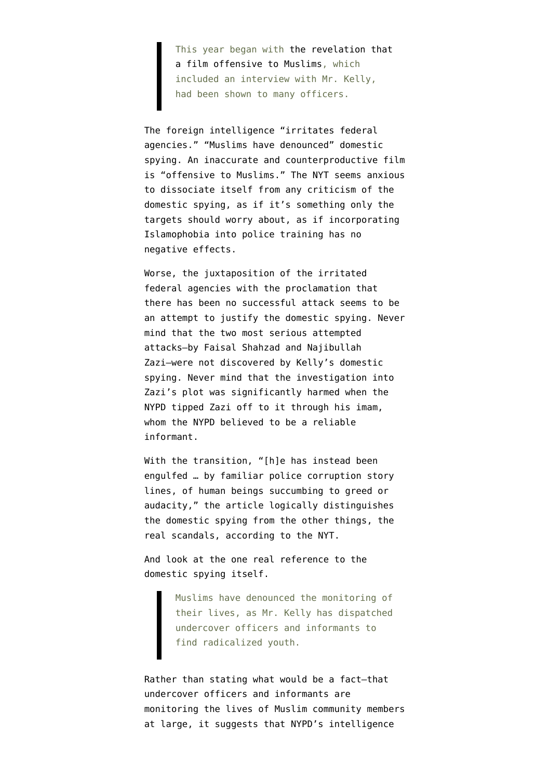This year began with [the revelation that](http://www.nytimes.com/2012/01/24/nyregion/in-police-training-a-dark-film-on-us-muslims.html?pagewanted=all) [a film offensive to Muslims](http://www.nytimes.com/2012/01/24/nyregion/in-police-training-a-dark-film-on-us-muslims.html?pagewanted=all), which included an interview with Mr. Kelly, had been shown to many officers.

The foreign intelligence "irritates federal agencies." "Muslims have denounced" domestic spying. An inaccurate and counterproductive film is "offensive to Muslims." The NYT seems anxious to dissociate itself from any criticism of the domestic spying, as if it's something only the targets should worry about, as if incorporating Islamophobia into police training has no negative effects.

Worse, the juxtaposition of the irritated federal agencies with the proclamation that there has been no successful attack seems to be an attempt to justify the domestic spying. Never mind that the two most serious attempted attacks–by Faisal Shahzad and Najibullah Zazi–were not discovered by Kelly's domestic spying. Never mind that the investigation into Zazi's plot was significantly harmed when the NYPD tipped Zazi off to it through his imam, whom the NYPD believed to be a reliable informant.

With the transition, "[h]e has instead been engulfed … by familiar police corruption story lines, of human beings succumbing to greed or audacity," the article logically distinguishes the domestic spying from the other things, the real scandals, according to the NYT.

And look at the one real reference to the domestic spying itself.

> Muslims have denounced the monitoring of their lives, as Mr. Kelly has dispatched undercover officers and informants to find radicalized youth.

Rather than stating what would be a fact–that undercover officers and informants are monitoring the lives of Muslim community members at large, it suggests that NYPD's intelligence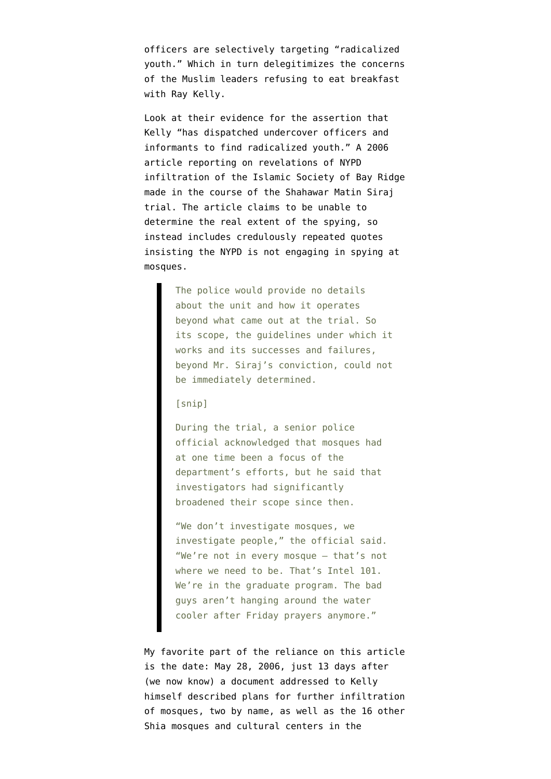officers are selectively targeting "radicalized youth." Which in turn delegitimizes the concerns of the Muslim leaders refusing to eat breakfast with Ray Kelly.

Look at their evidence for the assertion that Kelly "has dispatched undercover officers and informants to find radicalized youth." A [2006](http://query.nytimes.com/gst/fullpage.html?res=9F00EED71E3EF93BA15756C0A9609C8B63&pagewanted=all) [article](http://query.nytimes.com/gst/fullpage.html?res=9F00EED71E3EF93BA15756C0A9609C8B63&pagewanted=all) reporting on revelations of NYPD infiltration of the Islamic Society of Bay Ridge made in the course of the Shahawar Matin Siraj trial. The article claims to be unable to determine the real extent of the spying, so instead includes credulously repeated quotes insisting the NYPD is not engaging in spying at mosques.

> The police would provide no details about the unit and how it operates beyond what came out at the trial. So its scope, the guidelines under which it works and its successes and failures, beyond Mr. Siraj's conviction, could not be immediately determined.

#### [snip]

During the trial, a senior police official acknowledged that mosques had at one time been a focus of the department's efforts, but he said that investigators had significantly broadened their scope since then.

"We don't investigate mosques, we investigate people," the official said. "We're not in every mosque — that's not where we need to be. That's Intel 101. We're in the graduate program. The bad guys aren't hanging around the water cooler after Friday prayers anymore."

My favorite part of the reliance on this article is the date: May 28, 2006, just 13 days after ([we now know](http://www.huffingtonpost.com/huff-wires/20120202/us-nypd-intelligence/)) a [document](https://www.documentcloud.org/documents/288719-nypd-iranian-intel.html) addressed to Kelly himself described plans for further infiltration of mosques, two by name, as well as the 16 other Shia mosques and cultural centers in the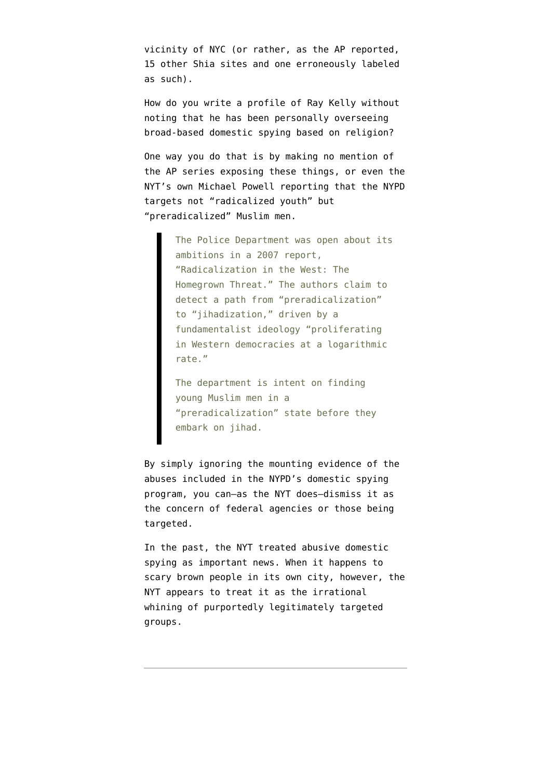vicinity of NYC (or rather, as the AP reported, 15 other Shia sites and one erroneously labeled as such).

How do you write a profile of Ray Kelly without noting that he has been personally overseeing broad-based domestic spying based on religion?

One way you do that is by making no mention of the [AP series exposing these things](http://www.ap.org/nypd/), or even the NYT's own Michael Powell [reporting](https://www.nytimes.com/2012/01/31/nyregion/with-muslims-using-a-brush-far-too-broad.html) that the NYPD targets not "radicalized youth" but "preradicalized" Muslim men.

> The Police Department was open about its ambitions in a 2007 report, "Radicalization in the West: The Homegrown Threat." The authors claim to detect a path from "preradicalization" to "jihadization," driven by a fundamentalist ideology "proliferating in Western democracies at a logarithmic rate."

The department is intent on finding young Muslim men in a "preradicalization" state before they embark on jihad.

By simply ignoring the mounting evidence of the abuses included in the NYPD's domestic spying program, you can–as the NYT does–dismiss it as the concern of federal agencies or those being targeted.

In the past, the NYT treated abusive domestic spying as important news. When it happens to scary brown people in its own city, however, the NYT appears to treat it as the irrational whining of purportedly legitimately targeted groups.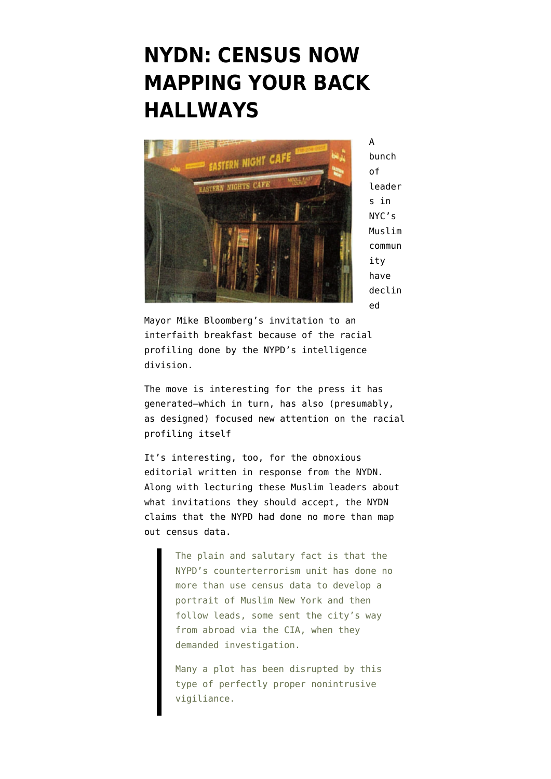### **[NYDN: CENSUS NOW](https://www.emptywheel.net/2011/12/29/nydn-census-now-mapping-your-back-hallways/) [MAPPING YOUR BACK](https://www.emptywheel.net/2011/12/29/nydn-census-now-mapping-your-back-hallways/) [HALLWAYS](https://www.emptywheel.net/2011/12/29/nydn-census-now-mapping-your-back-hallways/)**



A bunch of leader s in NYC's Muslim commun ity have [declin](http://www.nytimes.com/2011/12/29/nyregion/14-muslim-leaders-plan-boycott-of-bloomberg-interfaith-breakfast.html?hp) [ed](http://www.nytimes.com/2011/12/29/nyregion/14-muslim-leaders-plan-boycott-of-bloomberg-interfaith-breakfast.html?hp)

Mayor Mike Bloomberg's invitation to an interfaith breakfast because of the racial profiling done by the NYPD's intelligence division.

The move is interesting for the press it has generated–which in turn, has also (presumably, as designed) focused new attention on the racial profiling itself

It's interesting, too, for the [obnoxious](https://www.nydailynews.com/opinion/boycott-bloomberg-breakfast-muslim-leaders-a-big-mistake-article-1.998154) [editorial written in response](https://www.nydailynews.com/opinion/boycott-bloomberg-breakfast-muslim-leaders-a-big-mistake-article-1.998154) from the NYDN. Along with lecturing these Muslim leaders about what invitations they should accept, the NYDN claims that the NYPD had done no more than map out census data.

> The plain and salutary fact is that the NYPD's counterterrorism unit has done no more than use census data to develop a portrait of Muslim New York and then follow leads, some sent the city's way from abroad via the CIA, when they demanded investigation.

Many a plot has been disrupted by this type of perfectly proper nonintrusive vigiliance.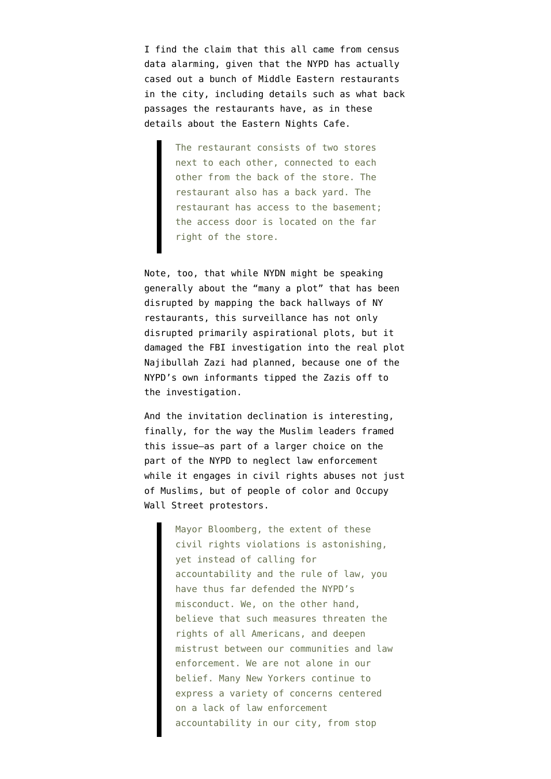I find the claim that this all came from census data alarming, given that the NYPD has actually [cased out a bunch of Middle Eastern restaurants](http://www.emptywheel.net/wp-content/uploads/2011/09/nypd-intel-morocco.pdf) [in the city](http://www.emptywheel.net/wp-content/uploads/2011/09/nypd-intel-morocco.pdf), including details such as what back passages the restaurants have, as in these details about the Eastern Nights Cafe.

> The restaurant consists of two stores next to each other, connected to each other from the back of the store. The restaurant also has a back yard. The restaurant has access to the basement; the access door is located on the far right of the store.

Note, too, that while NYDN might be speaking generally about the "many a plot" that has been disrupted by mapping the back hallways of NY restaurants, this surveillance [has not only](http://www.emptywheel.net/2011/09/11/nine-years-after-aluminum-tube-fear-mongering-judy-miller-is-back-at-it/) [disrupted primarily aspirational plots,](http://www.emptywheel.net/2011/09/11/nine-years-after-aluminum-tube-fear-mongering-judy-miller-is-back-at-it/) but it damaged [the FBI investigation into the real plot](http://www.emptywheel.net/2011/08/24/nypds-spooks-didnt-find-two-of-the-most-significant-terrorists-to-attempt-attacks-on-nyc/) Najibullah Zazi had planned, because one of the NYPD's own informants tipped the Zazis off to the investigation.

And the invitation declination is interesting, finally, for the way the Muslim leaders [framed](https://interfaithletter.wordpress.com/) [this issue–](https://interfaithletter.wordpress.com/)as part of a larger choice on the part of the NYPD to neglect law enforcement while it engages in civil rights abuses not just of Muslims, but of people of color and Occupy Wall Street protestors.

> Mayor Bloomberg, the extent of these civil rights violations is astonishing, yet instead of calling for accountability and the rule of law, you have thus far defended the NYPD's misconduct. We, on the other hand, believe that such measures threaten the rights of all Americans, and deepen mistrust between our communities and law enforcement. We are not alone in our belief. Many New Yorkers continue to express a variety of concerns centered on a lack of law enforcement accountability in our city, from stop